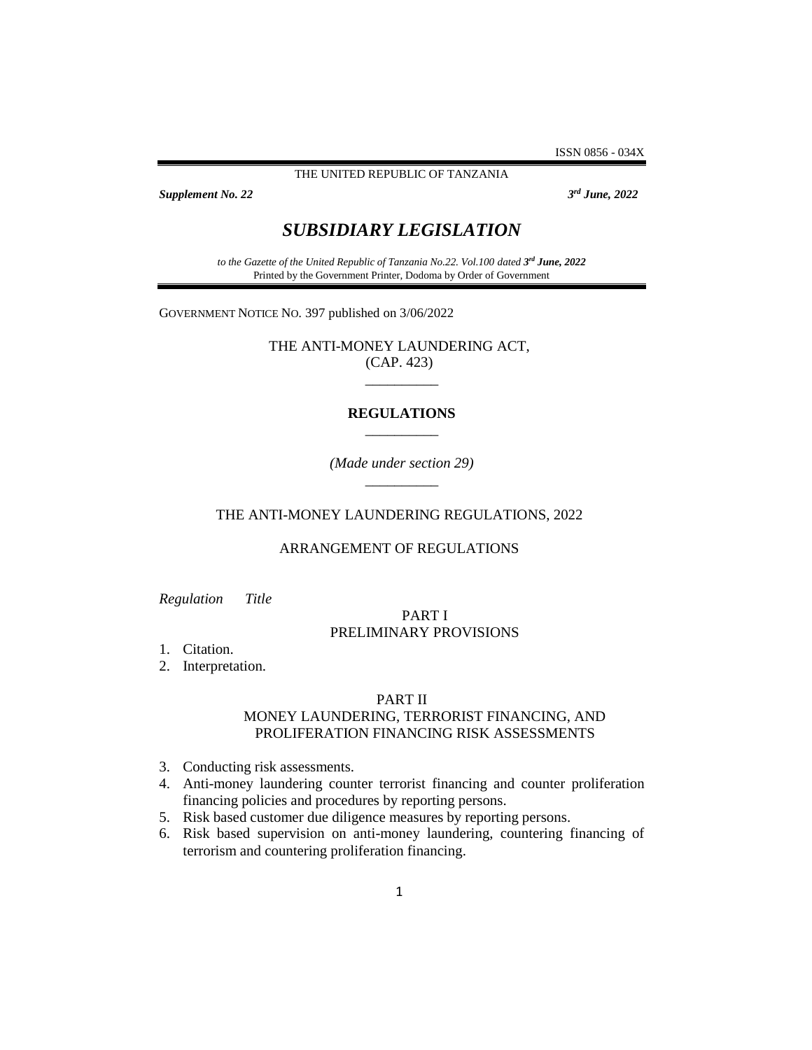ISSN 0856 - 034X

THE UNITED REPUBLIC OF TANZANIA

**Supplement No. 22** 

*rd June, 2022*

# *SUBSIDIARY LEGISLATION*

*to the Gazette of the United Republic of Tanzania No.22. Vol.100 dated 3 rd June, 2022* Printed by the Government Printer, Dodoma by Order of Government

GOVERNMENT NOTICE NO. 397 published on 3/06/2022

THE ANTI-MONEY LAUNDERING ACT, (CAP. 423) \_\_\_\_\_\_\_\_\_\_

## **REGULATIONS** \_\_\_\_\_\_\_\_\_\_

*(Made under section 29)* \_\_\_\_\_\_\_\_\_\_

#### THE ANTI-MONEY LAUNDERING REGULATIONS, 2022

## ARRANGEMENT OF REGULATIONS

*Regulation Title*

## PART I PRELIMINARY PROVISIONS

1. Citation.

2. Interpretation.

#### PART II

## MONEY LAUNDERING, TERRORIST FINANCING, AND PROLIFERATION FINANCING RISK ASSESSMENTS

- 3. Conducting risk assessments.
- 4. Anti-money laundering counter terrorist financing and counter proliferation financing policies and procedures by reporting persons.
- 5. Risk based customer due diligence measures by reporting persons.
- 6. Risk based supervision on anti-money laundering, countering financing of terrorism and countering proliferation financing.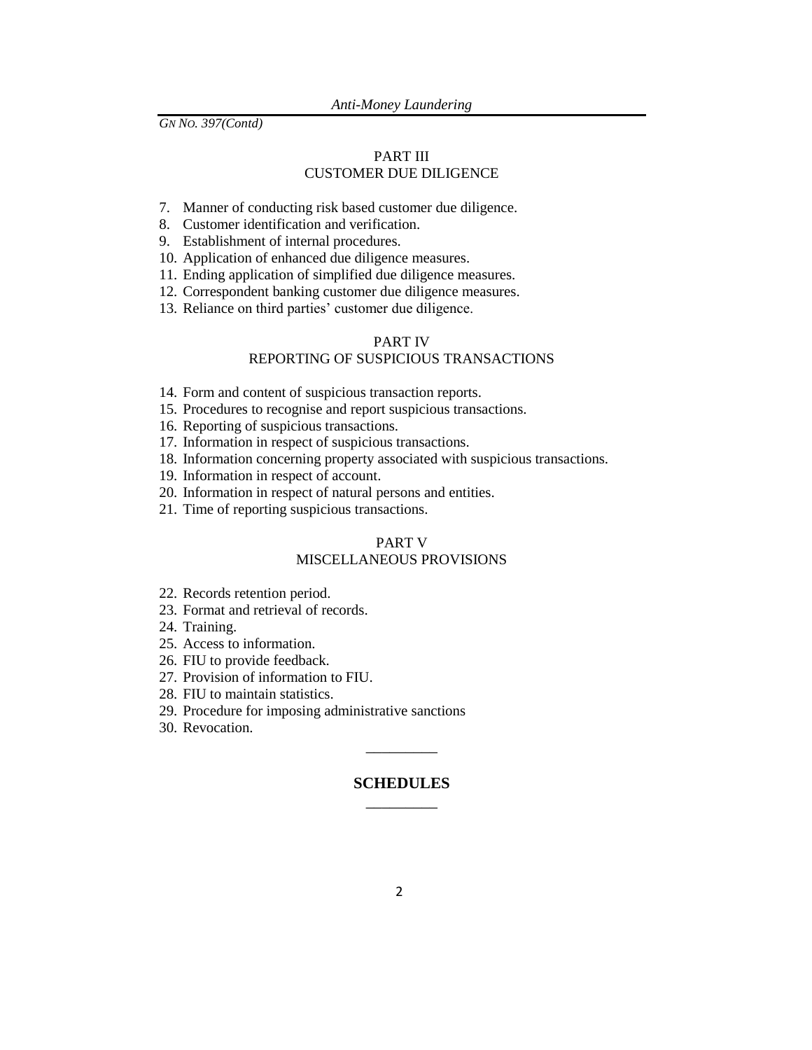## PART III CUSTOMER DUE DILIGENCE

- 7. Manner of conducting risk based customer due diligence.
- 8. Customer identification and verification.
- 9. Establishment of internal procedures.
- 10. Application of enhanced due diligence measures.
- 11. Ending application of simplified due diligence measures.
- 12. Correspondent banking customer due diligence measures.
- 13. Reliance on third parties' customer due diligence.

#### PART IV REPORTING OF SUSPICIOUS TRANSACTIONS

- 14. Form and content of suspicious transaction reports.
- 15. Procedures to recognise and report suspicious transactions.
- 16. Reporting of suspicious transactions.
- 17. Information in respect of suspicious transactions.
- 18. Information concerning property associated with suspicious transactions.
- 19. Information in respect of account.
- 20. Information in respect of natural persons and entities.
- 21. Time of reporting suspicious transactions.

## PART V MISCELLANEOUS PROVISIONS

- 22. Records retention period.
- 23. Format and retrieval of records.
- 24. Training.
- 25. Access to information.
- 26. FIU to provide feedback.
- 27. Provision of information to FIU.
- 28. FIU to maintain statistics.
- 29. Procedure for imposing administrative sanctions
- 30. Revocation.

## **SCHEDULES**  $\overline{\phantom{a}}$

\_\_\_\_\_\_\_\_\_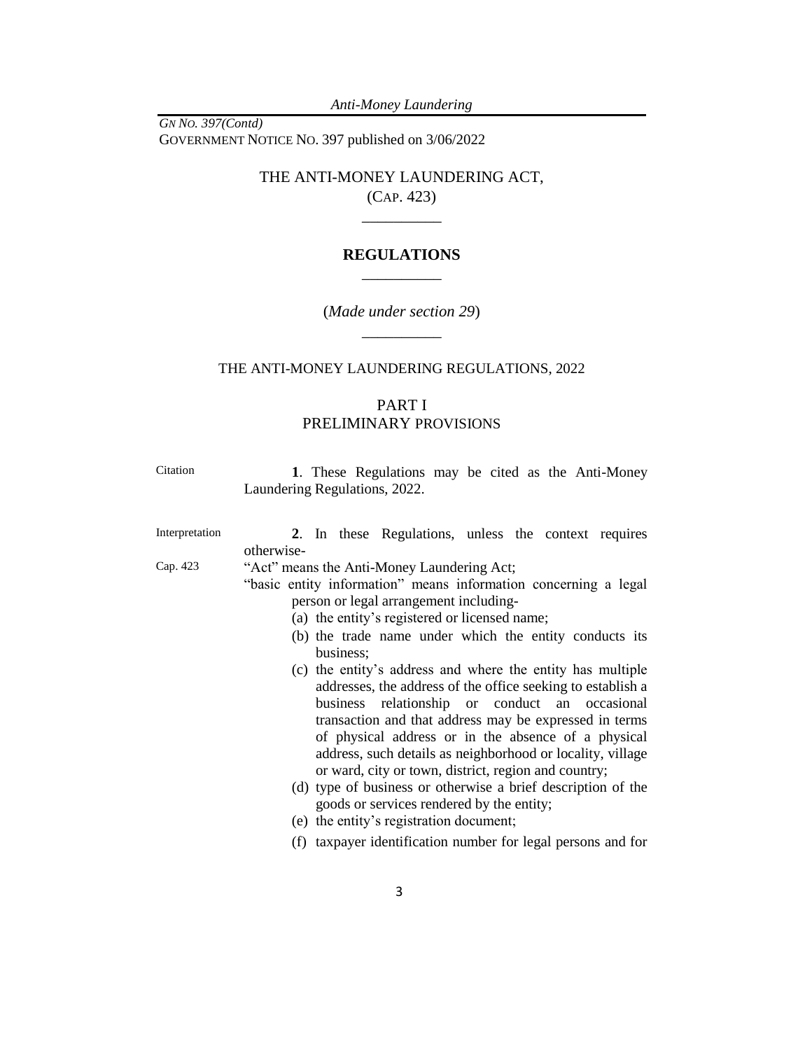*Anti-Money Laundering*

*GN NO. 397(Contd)* GOVERNMENT NOTICE NO. 397 published on 3/06/2022

> THE ANTI-MONEY LAUNDERING ACT, (CAP. 423)

> > $\overline{\phantom{a}}$

## **REGULATIONS** \_\_\_\_\_\_\_\_\_\_

(*Made under section 29*)  $\overline{\phantom{a}}$ 

## THE ANTI-MONEY LAUNDERING REGULATIONS, 2022

# PART I PRELIMINARY PROVISIONS

<span id="page-2-0"></span>

| Citation       | 1. These Regulations may be cited as the Anti-Money<br>Laundering Regulations, 2022.                                                                                                                     |  |  |
|----------------|----------------------------------------------------------------------------------------------------------------------------------------------------------------------------------------------------------|--|--|
| Interpretation | 2. In these Regulations, unless the context requires<br>otherwise-                                                                                                                                       |  |  |
| Cap. 423       | "Act" means the Anti-Money Laundering Act;<br>"basic entity information" means information concerning a legal<br>person or legal arrangement including-<br>(a) the entity's registered or licensed name; |  |  |
|                | (b) the trade name under which the entity conducts its<br>business;<br>(c) the entity's address and where the entity has multiple<br>addresses, the address of the office seeking to establish a         |  |  |
|                | business relationship or conduct an occasional<br>transaction and that address may be expressed in terms                                                                                                 |  |  |

of physical address or in the absence of a physical address, such details as neighborhood or locality, village or ward, city or town, district, region and country; (d) type of business or otherwise a brief description of the

- goods or services rendered by the entity;
- (e) the entity's registration document;
- (f) taxpayer identification number for legal persons and for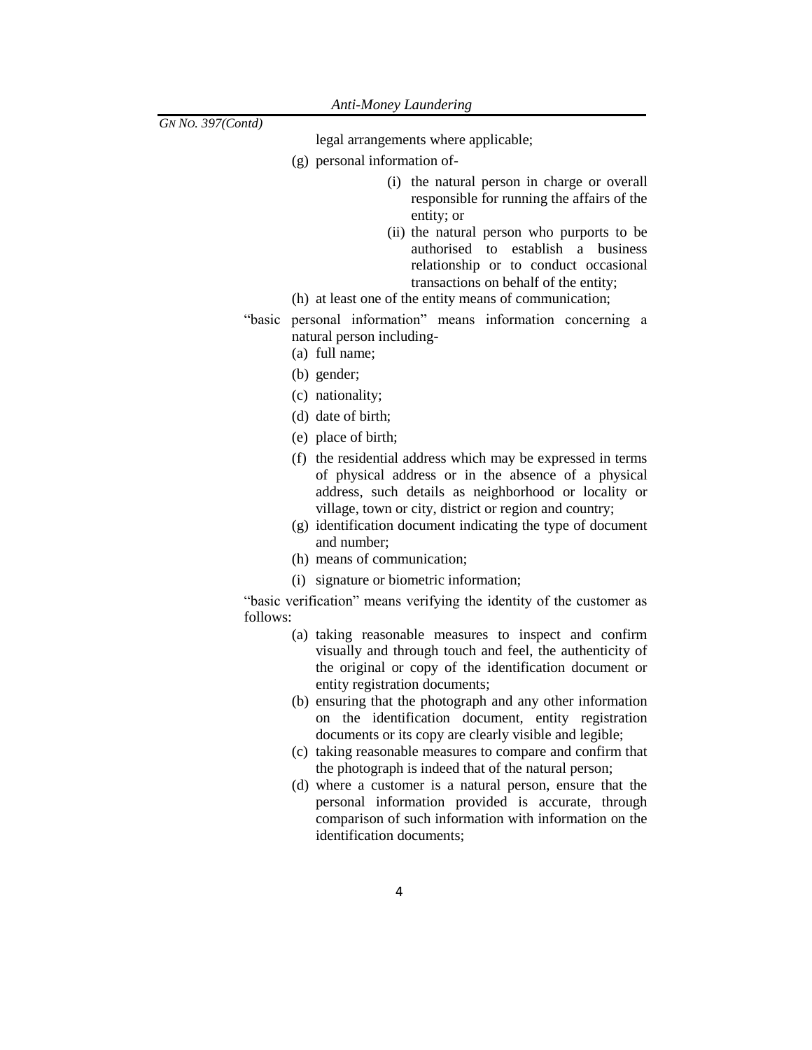legal arrangements where applicable;

- (g) personal information of-
	- (i) the natural person in charge or overall responsible for running the affairs of the entity; or
	- (ii) the natural person who purports to be authorised to establish a business relationship or to conduct occasional transactions on behalf of the entity;
- (h) at least one of the entity means of communication;
- "basic personal information" means information concerning a natural person including-
	- (a) full name;
	- (b) gender;
	- (c) nationality;
	- (d) date of birth;
	- (e) place of birth;
	- (f) the residential address which may be expressed in terms of physical address or in the absence of a physical address, such details as neighborhood or locality or village, town or city, district or region and country;
	- (g) identification document indicating the type of document and number;
	- (h) means of communication;
	- (i) signature or biometric information;

"basic verification" means verifying the identity of the customer as follows:

- (a) taking reasonable measures to inspect and confirm visually and through touch and feel, the authenticity of the original or copy of the identification document or entity registration documents;
- (b) ensuring that the photograph and any other information on the identification document, entity registration documents or its copy are clearly visible and legible;
- (c) taking reasonable measures to compare and confirm that the photograph is indeed that of the natural person;
- (d) where a customer is a natural person, ensure that the personal information provided is accurate, through comparison of such information with information on the identification documents;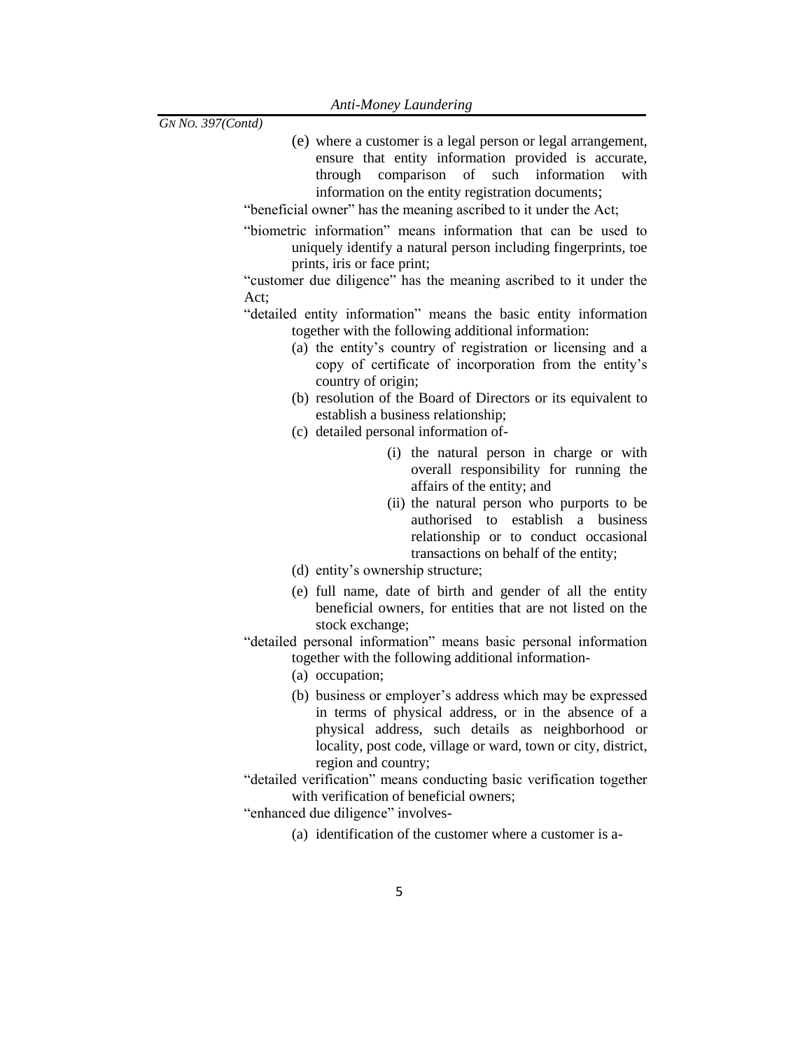- (e) where a customer is a legal person or legal arrangement, ensure that entity information provided is accurate, through comparison of such information with information on the entity registration documents;
- "beneficial owner" has the meaning ascribed to it under the Act;
- "biometric information" means information that can be used to uniquely identify a natural person including fingerprints, toe prints, iris or face print;

"customer due diligence" has the meaning ascribed to it under the Act;

- "detailed entity information" means the basic entity information together with the following additional information:
	- (a) the entity's country of registration or licensing and a copy of certificate of incorporation from the entity's country of origin;
	- (b) resolution of the Board of Directors or its equivalent to establish a business relationship;
	- (c) detailed personal information of-
		- (i) the natural person in charge or with overall responsibility for running the affairs of the entity; and
		- (ii) the natural person who purports to be authorised to establish a business relationship or to conduct occasional transactions on behalf of the entity;
	- (d) entity's ownership structure;
	- (e) full name, date of birth and gender of all the entity beneficial owners, for entities that are not listed on the stock exchange;
- "detailed personal information" means basic personal information together with the following additional information-
	- (a) occupation;
	- (b) business or employer's address which may be expressed in terms of physical address, or in the absence of a physical address, such details as neighborhood or locality, post code, village or ward, town or city, district, region and country;
- "detailed verification" means conducting basic verification together with verification of beneficial owners;

"enhanced due diligence" involves-

(a) identification of the customer where a customer is a-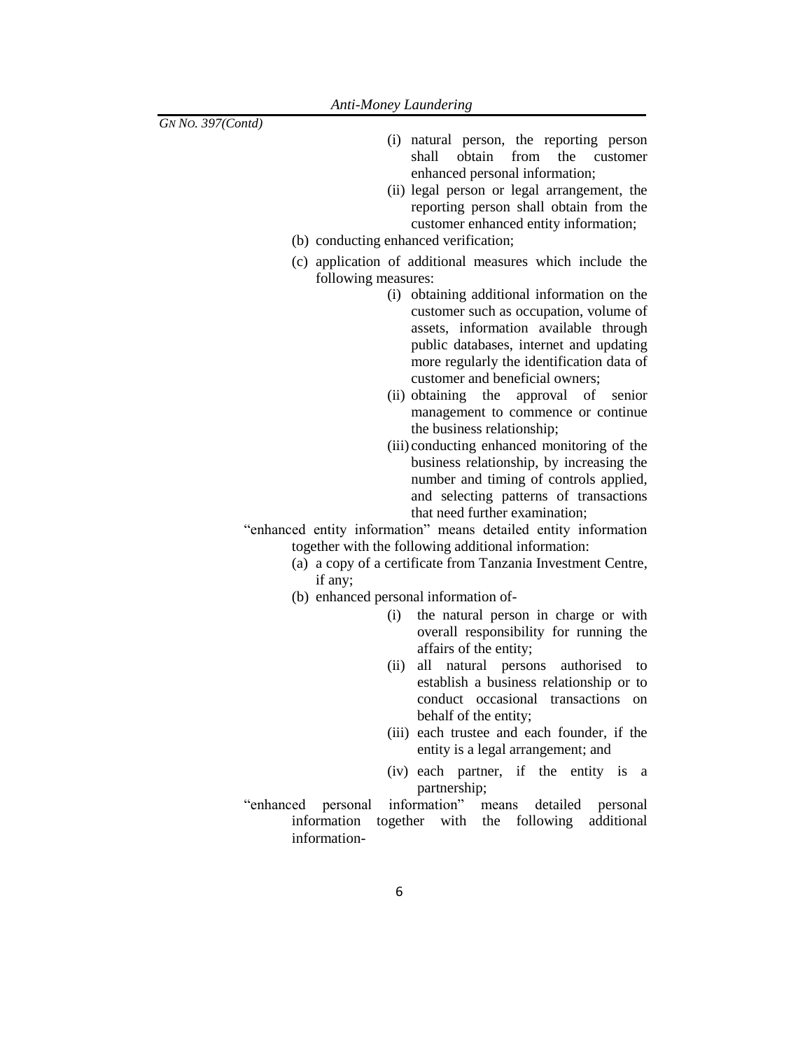- (i) natural person, the reporting person shall obtain from the customer enhanced personal information;
- (ii) legal person or legal arrangement, the reporting person shall obtain from the customer enhanced entity information;
- (b) conducting enhanced verification;
- (c) application of additional measures which include the following measures:
	- (i) obtaining additional information on the customer such as occupation, volume of assets, information available through public databases, internet and updating more regularly the identification data of customer and beneficial owners;
	- (ii) obtaining the approval of senior management to commence or continue the business relationship;
	- (iii) conducting enhanced monitoring of the business relationship, by increasing the number and timing of controls applied, and selecting patterns of transactions that need further examination;
- "enhanced entity information" means detailed entity information together with the following additional information:
	- (a) a copy of a certificate from Tanzania Investment Centre, if any;
	- (b) enhanced personal information of-
		- (i) the natural person in charge or with overall responsibility for running the affairs of the entity;
		- (ii) all natural persons authorised to establish a business relationship or to conduct occasional transactions on behalf of the entity;
		- (iii) each trustee and each founder, if the entity is a legal arrangement; and
		- (iv) each partner, if the entity is a partnership;
- "enhanced personal information" means detailed personal information together with the following additional information-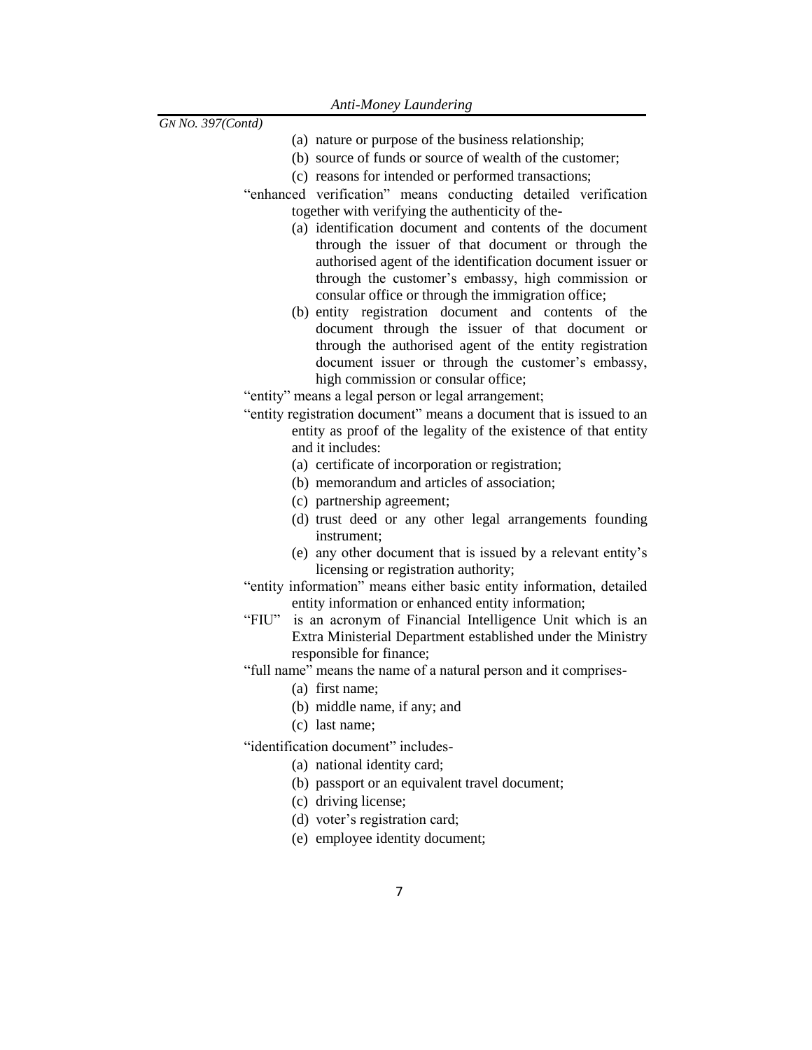- (a) nature or purpose of the business relationship;
- (b) source of funds or source of wealth of the customer;
- (c) reasons for intended or performed transactions;
- "enhanced verification" means conducting detailed verification together with verifying the authenticity of the-
	- (a) identification document and contents of the document through the issuer of that document or through the authorised agent of the identification document issuer or through the customer's embassy, high commission or consular office or through the immigration office;
	- (b) entity registration document and contents of the document through the issuer of that document or through the authorised agent of the entity registration document issuer or through the customer's embassy, high commission or consular office;

<span id="page-6-0"></span>"entity" means a legal person or legal arrangement;

- "entity registration document" means a document that is issued to an [entity](#page-6-0) as proof of the legality of the existence of that [entity](#page-6-0) and it includes:
	- (a) certificate of incorporation or registration;
	- (b) memorandum and articles of association;
	- (c) partnership agreement;
	- (d) trust deed or any other legal arrangements founding instrument;
	- (e) any other document that is issued by a relevant entity's licensing or registration authority;
- "entity information" means either basic entity information, detailed entity information or enhanced entity information;
- "FIU" is an acronym of Financial Intelligence Unit which is an Extra Ministerial Department established under the Ministry responsible for finance;

"full name" means the name of a natural person and it comprises-

- (a) first name;
- (b) middle name, if any; and
- (c) last name;

"identification document" includes-

- (a) national identity card;
- (b) passport or an equivalent travel document;
- (c) driving license;
- (d) voter's registration card;
- (e) employee identity document;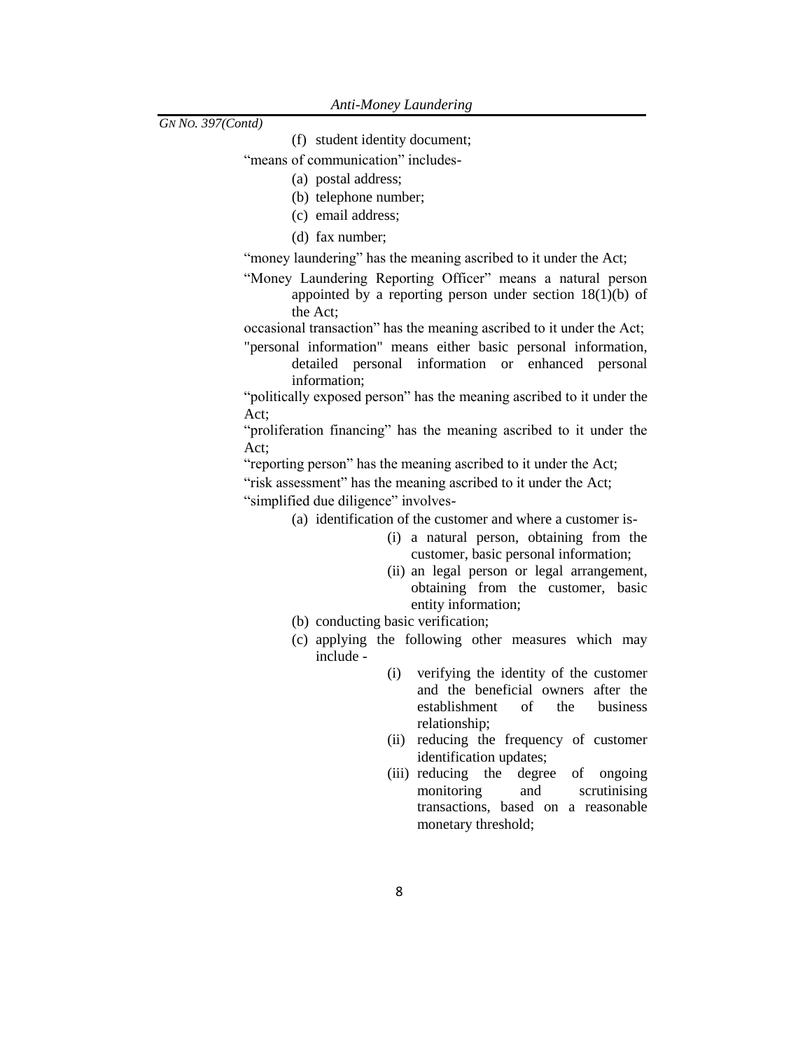- (f) student identity document;
- "means of communication" includes-
	- (a) postal address;
	- (b) telephone number;
	- (c) email address;
	- (d) fax number;

"money laundering" has the meaning ascribed to it under the [Act;](#page-2-0)

"Money Laundering Reporting Officer" means a natural person appointed by a reporting person under section 18(1)(b) of the Act;

occasional transaction" has the meaning ascribed to it under the Act;

"personal information" means either basic personal information, detailed personal information or enhanced personal information;

"politically exposed person" has the meaning ascribed to it under the [Act;](#page-2-0)

"proliferation financing" has the meaning ascribed to it under the [Act;](#page-2-0)

"reporting person" has the meaning ascribed to it under the [Act;](#page-2-0)

"risk assessment" has the meaning ascribed to it under the [Act;](#page-2-0)

"simplified due diligence" involves-

- (a) identification of the customer and where a customer is-
	- (i) a natural person, obtaining from the customer, basic personal information;
	- (ii) an legal person or legal arrangement, obtaining from the customer, basic entity information;
- (b) conducting basic verification;
- (c) applying the following other measures which may include -
	- (i) verifying the identity of the customer and the beneficial owners after the establishment of the business relationship;
	- (ii) reducing the frequency of customer identification updates;
	- (iii) reducing the degree of ongoing monitoring and scrutinising transactions, based on a reasonable monetary threshold;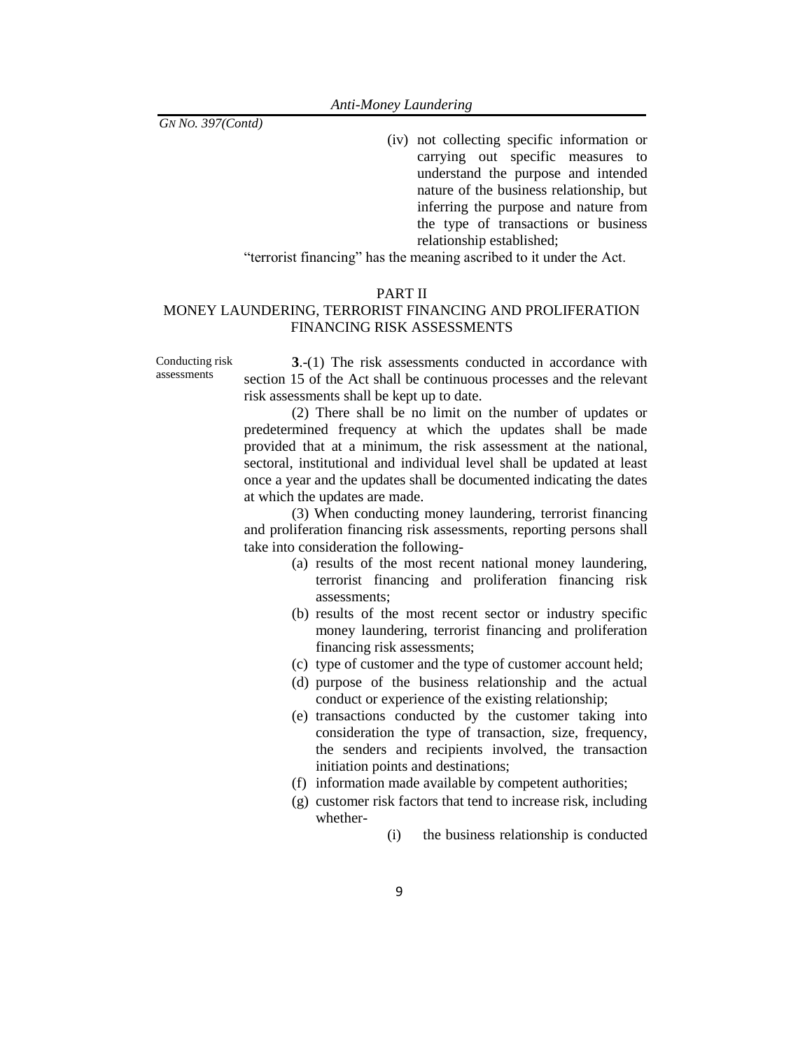(iv) not collecting specific information or carrying out specific measures to understand the purpose and intended nature of the business relationship, but inferring the purpose and nature from the type of transactions or business relationship established;

"terrorist financing" has the meaning ascribed to it under the Act.

## PART II

## MONEY LAUNDERING, TERRORIST FINANCING AND PROLIFERATION FINANCING RISK ASSESSMENTS

Conducting risk assessments

**3**.-(1) The risk assessments conducted in accordance with section 15 of the Act shall be continuous processes and the relevant risk assessments shall be kept up to date.

(2) There shall be no limit on the number of updates or predetermined frequency at which the updates shall be made provided that at a minimum, the risk assessment at the national, sectoral, institutional and individual level shall be updated at least once a year and the updates shall be documented indicating the dates at which the updates are made.

(3) When conducting money laundering, terrorist financing and proliferation financing risk assessments, [reporting persons](../../../../fasimba/Desktop/MER%20compliance%20Documents/Proposed%20New%20AMLA%20regulations%202021-22.docx#ReportingPerson) shall take into consideration the following-

- (a) results of the most recent national money laundering, terrorist financing and proliferation financing risk assessments;
- (b) results of the most recent sector or industry specific money laundering, terrorist financing and proliferation financing risk assessments;
- (c) type of customer and the type of customer account held;
- (d) purpose of the business relationship and the actual conduct or experience of the existing relationship;
- (e) transactions conducted by the customer taking into consideration the type of transaction, size, frequency, the senders and recipients involved, the transaction initiation points and destinations;
- (f) information made available by competent authorities;
- (g) customer risk factors that tend to increase risk, including whether-
	- (i) the business relationship is conducted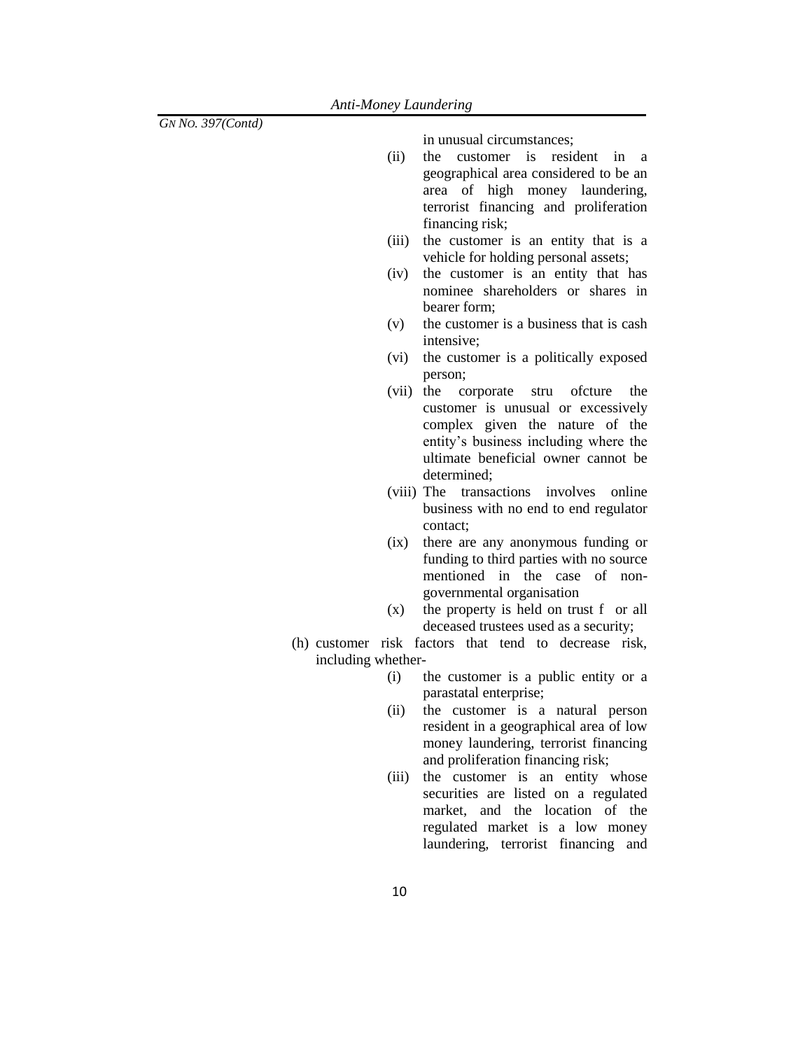in unusual circumstances;

- (ii) the customer is resident in a geographical area considered to be an area of high money laundering, terrorist financing and proliferation financing risk;
- (iii) the customer is an entity that is a vehicle for holding personal assets;
- (iv) the customer is an entity that has nominee shareholders or shares in bearer form;
- (v) the customer is a business that is cash intensive;
- (vi) the customer is a politically exposed person;
- (vii) the corporate stru ofcture the customer is unusual or excessively complex given the nature of the entity's business including where the ultimate beneficial owner cannot be determined;
- (viii) The transactions involves online business with no end to end regulator contact;
- (ix) there are any anonymous funding or funding to third parties with no source mentioned in the case of nongovernmental organisation
- (x) the property is held on trust f or all deceased trustees used as a security;
- (h) customer risk factors that tend to decrease risk, including whether-
	- (i) the customer is a public entity or a parastatal enterprise;
	- (ii) the customer is a natural person resident in a geographical area of low money laundering, terrorist financing and proliferation financing risk;
	- (iii) the customer is an entity whose securities are listed on a regulated market, and the location of the regulated market is a low money laundering, terrorist financing and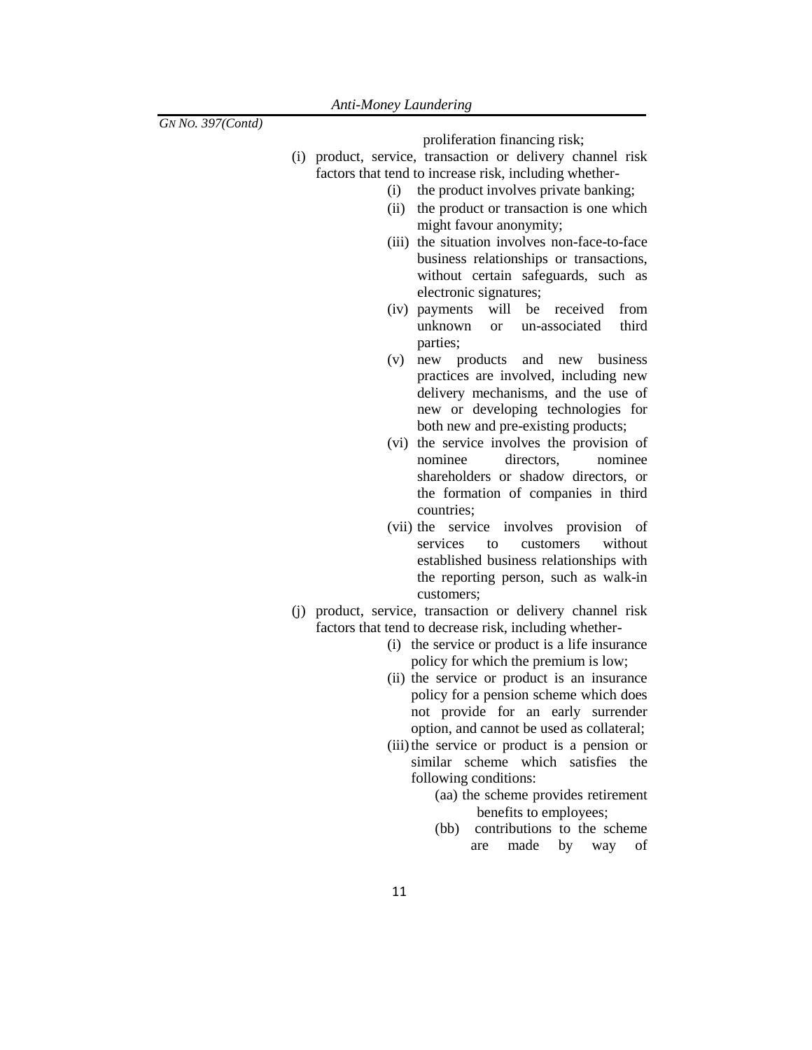proliferation financing risk;

- (i) product, service, transaction or delivery channel risk factors that tend to increase risk, including whether-
	- (i) the product involves private banking;
	- (ii) the product or transaction is one which might favour anonymity;
	- (iii) the situation involves non-face-to-face business relationships or transactions, without certain safeguards, such as electronic signatures;
	- (iv) payments will be received from unknown or un-associated third parties;
	- (v) new products and new business practices are involved, including new delivery mechanisms, and the use of new or developing technologies for both new and pre-existing products;
	- (vi) the service involves the provision of nominee directors, nominee shareholders or shadow directors, or the formation of companies in third countries;
	- (vii) the service involves provision of services to customers without established business relationships with the reporting person, such as walk-in customers;
- (j) product, service, transaction or delivery channel risk factors that tend to decrease risk, including whether-
	- (i) the service or product is a life insurance policy for which the premium is low;
	- (ii) the service or product is an insurance policy for a pension scheme which does not provide for an early surrender option, and cannot be used as collateral;
	- (iii) the service or product is a pension or similar scheme which satisfies the following conditions:
		- (aa) the scheme provides retirement benefits to employees;
		- (bb) contributions to the scheme are made by way of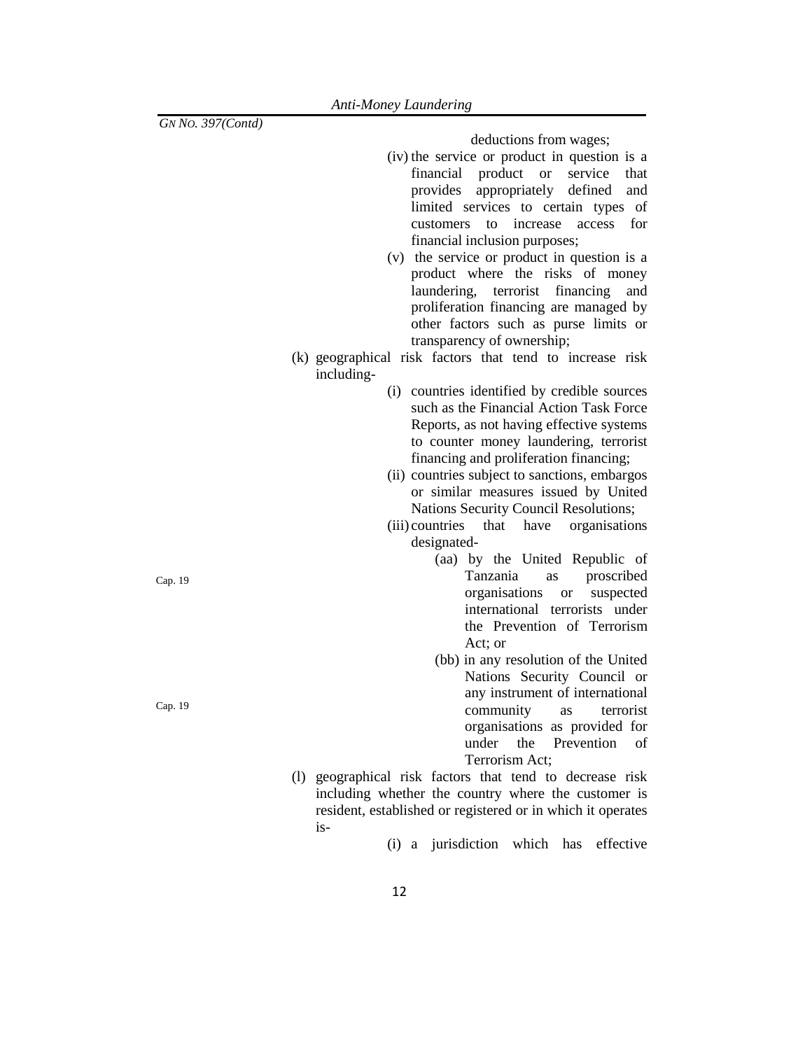deductions from wages;

- (iv) the service or product in question is a financial product or service that provides appropriately defined and limited services to certain types of customers to increase access for financial inclusion purposes;
- (v) the service or product in question is a product where the risks of money laundering, terrorist financing and proliferation financing are managed by other factors such as purse limits or transparency of ownership;
- (k) geographical risk factors that tend to increase risk including-
	- (i) countries identified by credible sources such as the Financial Action Task Force Reports, as not having effective systems to counter money laundering, terrorist financing and proliferation financing;
	- (ii) countries subject to sanctions, embargos or similar measures issued by United Nations Security Council Resolutions;
	- (iii) countries that have organisations designated-
		- (aa) by the United Republic of Tanzania as proscribed organisations or suspected international terrorists under the Prevention of Terrorism Act; or
		- (bb) in any resolution of the United Nations Security Council or any instrument of international community as terrorist organisations as provided for under the Prevention of Terrorism Act;
- (l) geographical risk factors that tend to decrease risk including whether the country where the customer is resident, established or registered or in which it operates is-

(i) a jurisdiction which has effective

Cap. 19

Cap. 19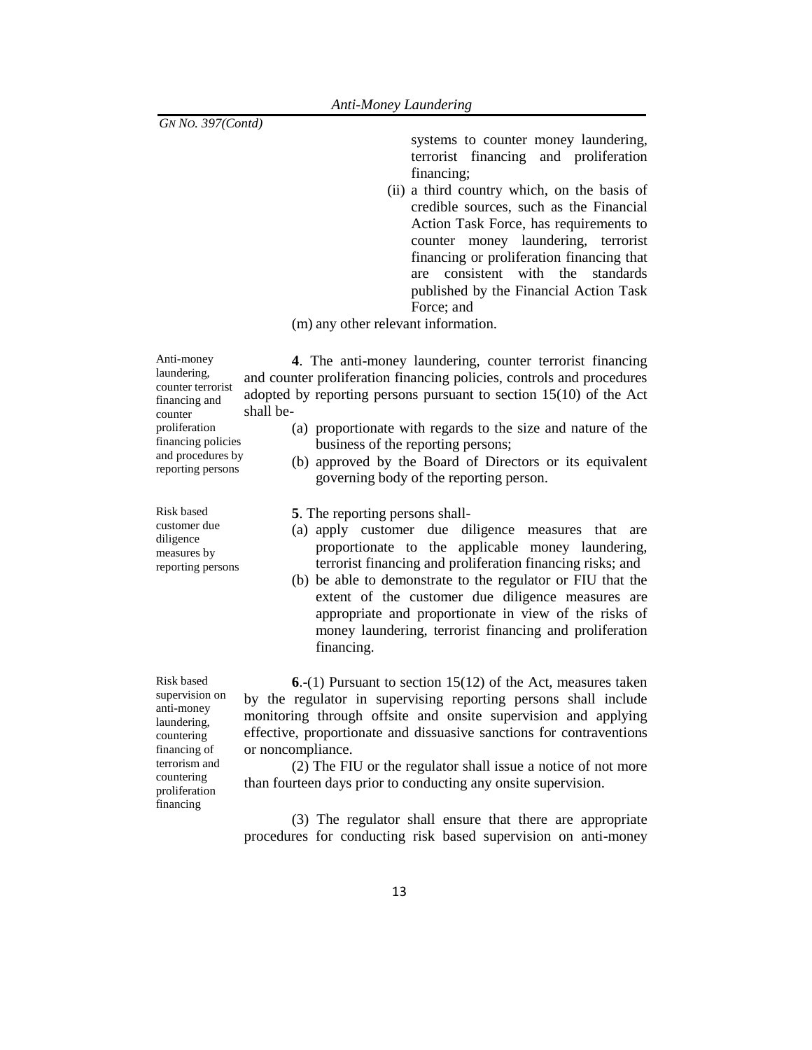systems to counter money laundering, terrorist financing and proliferation financing;

(ii) a third country which, on the basis of credible sources, such as the Financial Action Task Force, has requirements to counter money laundering, terrorist financing or proliferation financing that are consistent with the standards published by the Financial Action Task Force; and

(m) any other relevant information.

Anti-money laundering, counter terrorist financing and counter proliferation financing policies and procedures by reporting persons

Risk based customer due diligence measures by reporting persons

Risk based supervision on anti-money laundering, countering financing of terrorism and countering proliferation financing

**4**. The anti-money laundering, counter terrorist financing and counter proliferation financing policies, controls and procedures adopted by reporting persons pursuant to section 15(10) of the Act shall be-

- (a) proportionate with regards to the size and nature of the business of the reporting persons;
- (b) approved by the Board of Directors or its equivalent governing body of the reporting person.
- **5**. The reporting persons shall-
- (a) apply customer due diligence measures that are proportionate to the applicable money laundering, terrorist financing and proliferation financing risks; and
- (b) be able to demonstrate to the regulator or FIU that the extent of the customer due diligence measures are appropriate and proportionate in view of the risks of money laundering, terrorist financing and proliferation financing.

**6**.-(1) Pursuant to section 15(12) of the Act, measures taken by the regulator in supervising reporting persons shall include monitoring through offsite and onsite supervision and applying effective, proportionate and dissuasive sanctions for contraventions or noncompliance.

(2) The FIU or the regulator shall issue a notice of not more than fourteen days prior to conducting any onsite supervision.

(3) The regulator shall ensure that there are appropriate procedures for conducting risk based supervision on anti-money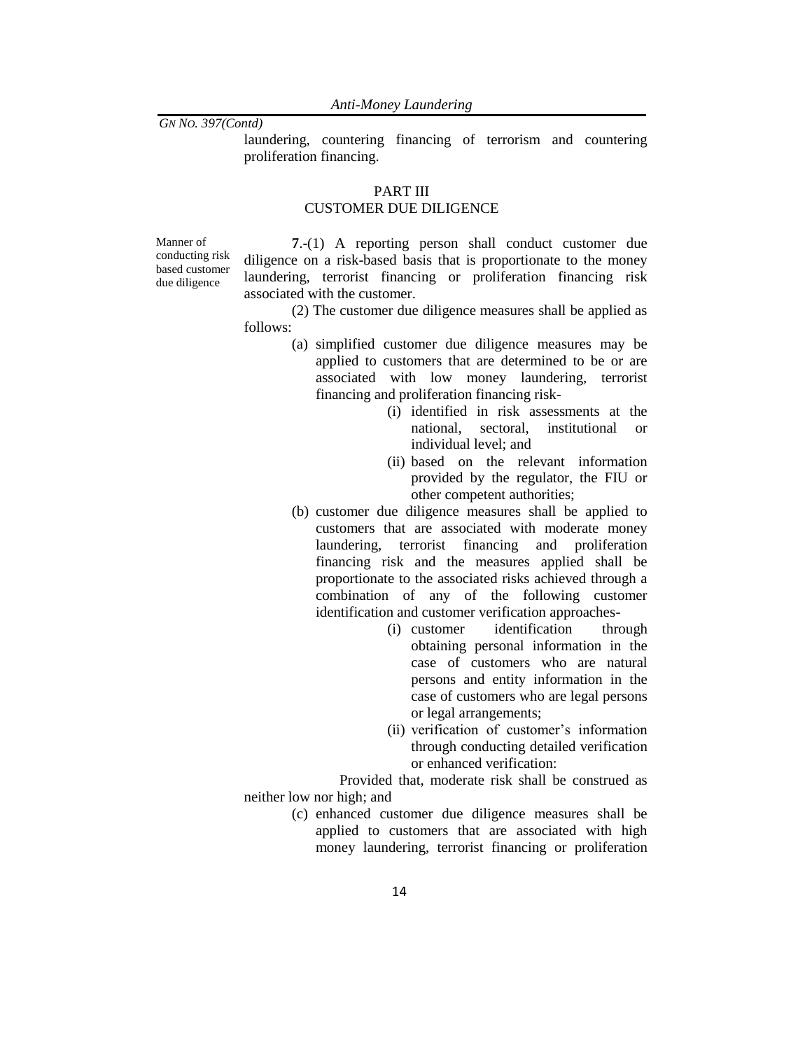*Anti-Money Laundering*

*GN NO. 397(Contd)*

laundering, countering financing of terrorism and countering proliferation financing.

## PART III

## CUSTOMER DUE DILIGENCE

Manner of conducting risk based customer due diligence

**7**.-(1) A reporting person shall conduct customer due diligence on a risk-based basis that is proportionate to the money laundering, terrorist financing or proliferation financing risk associated with the customer.

(2) The customer due diligence measures shall be applied as follows:

- (a) simplified customer due diligence measures may be applied to customers that are determined to be or are associated with low money laundering, terrorist financing and proliferation financing risk-
	- (i) identified in risk assessments at the national, sectoral, institutional or individual level; and
	- (ii) based on the relevant information provided by the regulator, the FIU or other competent authorities;
- (b) customer due diligence measures shall be applied to customers that are associated with moderate money laundering, terrorist financing and proliferation financing risk and the measures applied shall be proportionate to the associated risks achieved through a combination of any of the following customer identification and customer verification approaches-
	- (i) customer identification through obtaining personal information in the case of customers who are natural persons and entity information in the case of customers who are legal persons or legal arrangements;
	- (ii) verification of customer's information through conducting detailed verification or enhanced verification:

Provided that, moderate risk shall be construed as neither low nor high; and

> (c) enhanced customer due diligence measures shall be applied to customers that are associated with high money laundering, terrorist financing or proliferation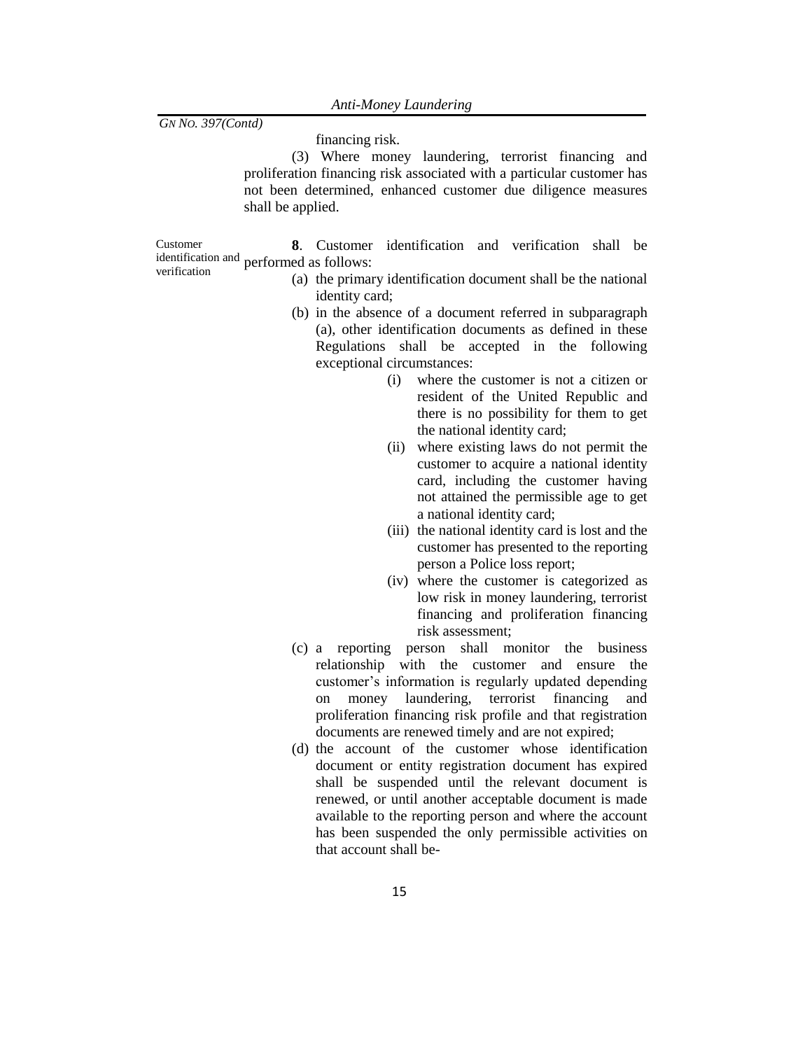financing risk.

(3) Where money laundering, terrorist financing and proliferation financing risk associated with a particular customer has not been determined, enhanced customer due diligence measures shall be applied.

Customer identification and performed as follows: verification **8**. Customer identification and verification shall be

- (a) the primary identification document shall be the national identity card;
- (b) in the absence of a document referred in subparagraph (a), other identification documents as defined in these Regulations shall be accepted in the following exceptional circumstances:
	- (i) where the customer is not a citizen or resident of the United Republic and there is no possibility for them to get the national identity card;
	- (ii) where existing laws do not permit the customer to acquire a national identity card, including the customer having not attained the permissible age to get a national identity card;
	- (iii) the national identity card is lost and the customer has presented to the reporting person a Police loss report;
	- (iv) where the customer is categorized as low risk in money laundering, terrorist financing and proliferation financing risk assessment;
- (c) a reporting person shall monitor the business relationship with the customer and ensure the customer's information is regularly updated depending on money laundering, terrorist financing and proliferation financing risk profile and that registration documents are renewed timely and are not expired;
- (d) the account of the customer whose identification document or entity registration document has expired shall be suspended until the relevant document is renewed, or until another acceptable document is made available to the reporting person and where the account has been suspended the only permissible activities on that account shall be-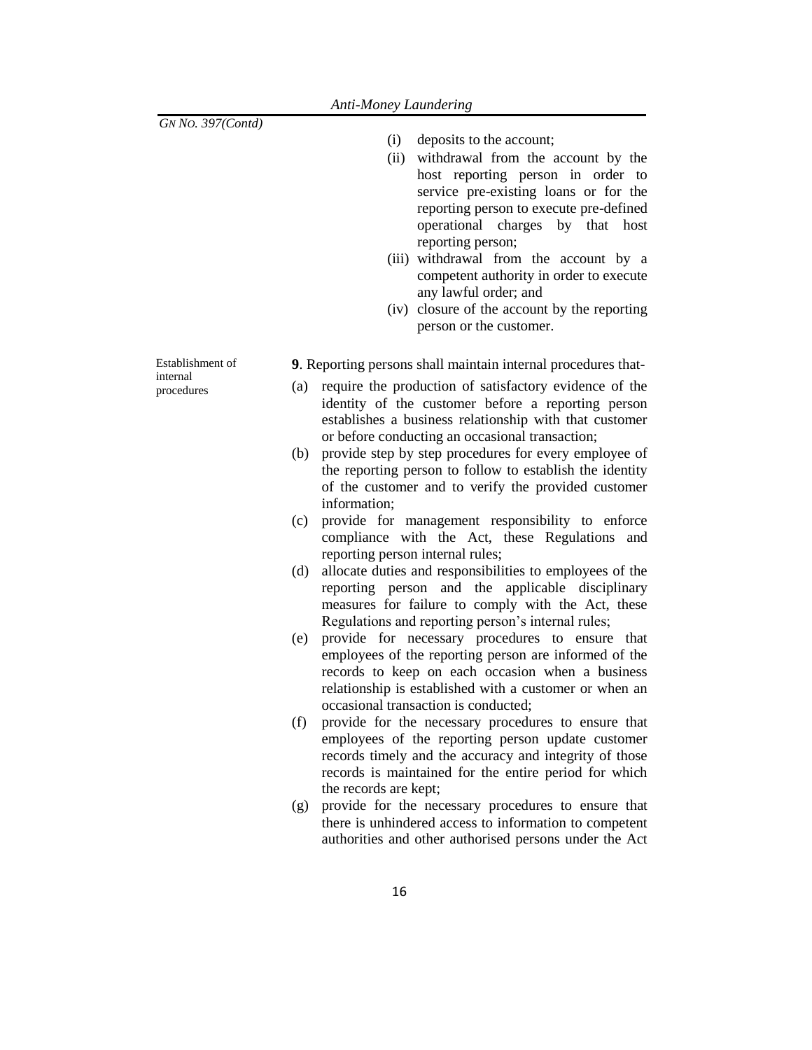- (i) deposits to the account;
- (ii) withdrawal from the account by the host reporting person in order to service pre-existing loans or for the reporting person to execute pre-defined operational charges by that host reporting person;
- (iii) withdrawal from the account by a competent authority in order to execute any lawful order; and
- (iv) closure of the account by the reporting person or the customer.

Establishment of internal procedures

**9**. Reporting persons shall maintain internal procedures that-

- (a) require the production of satisfactory evidence of the identity of the customer before a reporting person establishes a business relationship with that customer or before conducting an occasional transaction;
- (b) provide step by step procedures for every employee of the reporting person to follow to establish the identity of the customer and to verify the provided customer information;
- (c) provide for management responsibility to enforce compliance with the Act, these Regulations and reporting person internal rules;
- (d) allocate duties and responsibilities to employees of the reporting person and the applicable disciplinary measures for failure to comply with the Act, these Regulations and reporting person's internal rules;
- (e) provide for necessary procedures to ensure that employees of the reporting person are informed of the records to keep on each occasion when a business relationship is established with a customer or when an occasional transaction is conducted;
- (f) provide for the necessary procedures to ensure that employees of the reporting person update customer records timely and the accuracy and integrity of those records is maintained for the entire period for which the records are kept;
- (g) provide for the necessary procedures to ensure that there is unhindered access to information to competent authorities and other authorised persons under the Act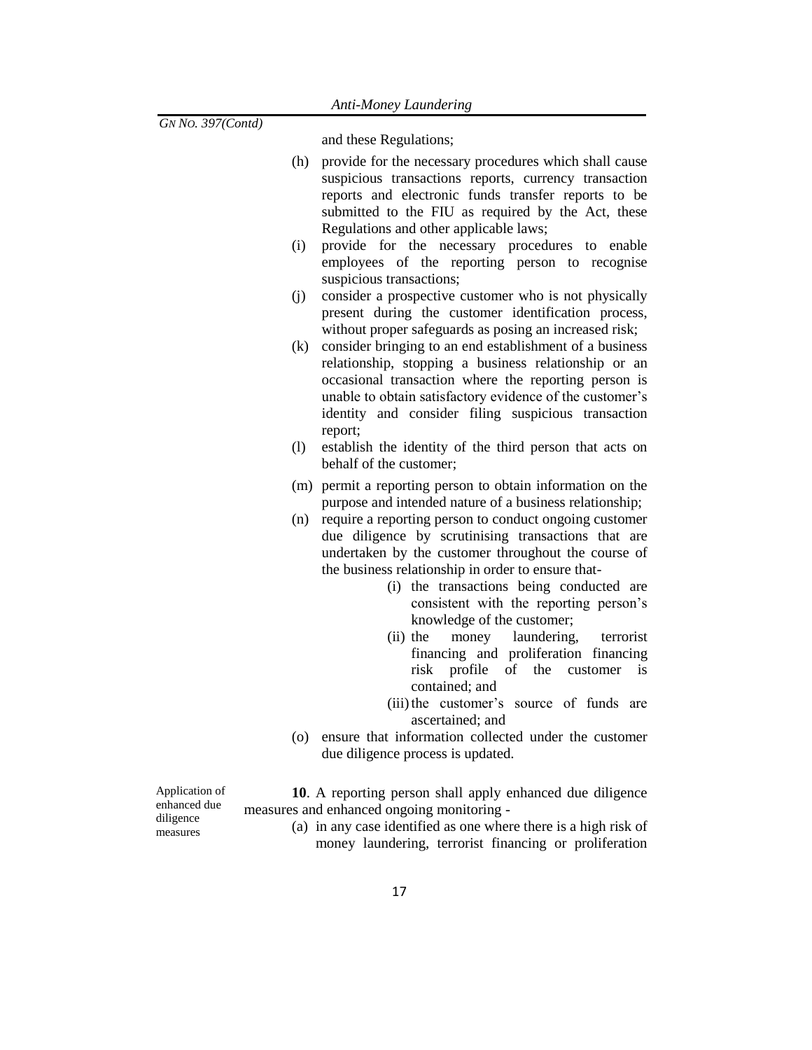and these Regulations;

- (h) provide for the necessary procedures which shall cause suspicious transactions reports, currency transaction reports and electronic funds transfer reports to be submitted to the FIU as required by the Act, these Regulations and other applicable laws;
- (i) provide for the necessary procedures to enable employees of the reporting person to recognise suspicious transactions;
- (j) consider a prospective customer who is not physically present during the customer identification process, without proper safeguards as posing an increased risk;
- (k) consider bringing to an end establishment of a business relationship, stopping a business relationship or an occasional transaction where the reporting person is unable to obtain satisfactory evidence of the customer's identity and consider filing suspicious transaction report;
- (l) establish the identity of the third person that acts on behalf of the customer;
- (m) permit a reporting person to obtain information on the purpose and intended nature of a business relationship;
- (n) require a reporting person to conduct ongoing customer due diligence by scrutinising transactions that are undertaken by the customer throughout the course of the business relationship in order to ensure that-
	- (i) the transactions being conducted are consistent with the reporting person's knowledge of the customer;
	- (ii) the money laundering, terrorist financing and proliferation financing risk profile of the customer is contained; and
	- (iii)the customer's source of funds are ascertained; and
- (o) ensure that information collected under the customer due diligence process is updated.

Application of enhanced due diligence measures

**10**. A reporting person shall apply enhanced due diligence measures and enhanced ongoing monitoring -

> (a) in any case identified as one where there is a high risk of money laundering, terrorist financing or proliferation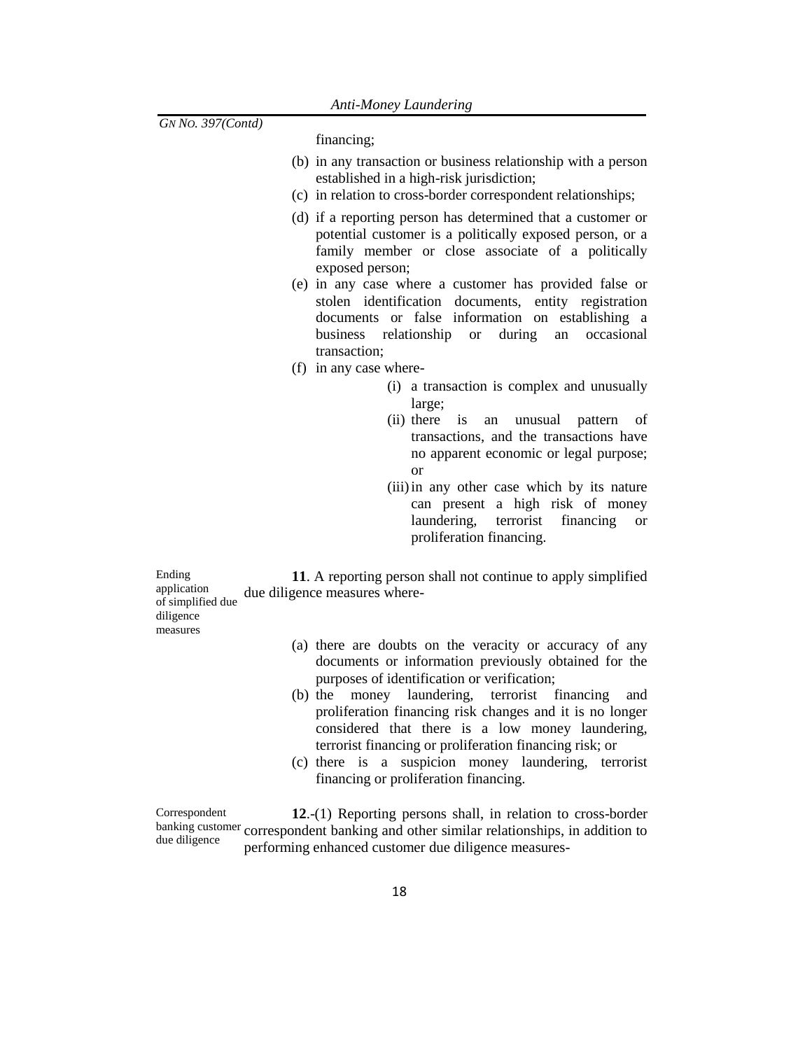financing;

- (b) in any transaction or business relationship with a person established in a high-risk jurisdiction;
- (c) in relation to cross-border correspondent relationships;
- (d) if a reporting person has determined that a customer or potential customer is a politically exposed person, or a family member or close associate of a politically exposed person;
- (e) in any case where a customer has provided false or stolen identification documents, entity registration documents or false information on establishing a business relationship or during an occasional transaction;
- (f) in any case where-
	- (i) a transaction is complex and unusually large;
	- (ii) there is an unusual pattern of transactions, and the transactions have no apparent economic or legal purpose; or
	- (iii)in any other case which by its nature can present a high risk of money laundering, terrorist financing or proliferation financing.

Ending application of simplified due diligence **11**. A reporting person shall not continue to apply simplified due diligence measures where-

measures

- (a) there are doubts on the veracity or accuracy of any documents or information previously obtained for the purposes of identification or verification;
- (b) the money laundering, terrorist financing and proliferation financing risk changes and it is no longer considered that there is a low money laundering, terrorist financing or proliferation financing risk; or
- (c) there is a suspicion money laundering, terrorist financing or proliferation financing.

Correspondent banking customer correspondent banking and other similar relationships, in addition to due diligence **12**.-(1) Reporting persons shall, in relation to cross-border performing enhanced customer due diligence measures-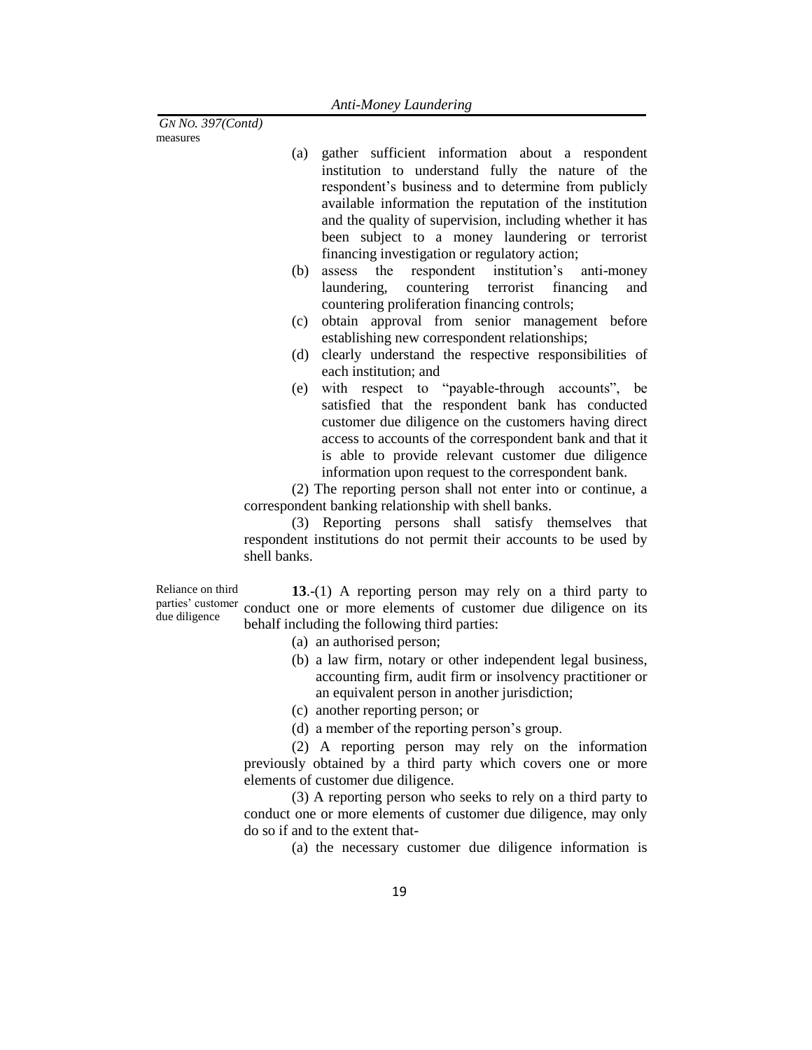*GN NO. 397(Contd)* measures

- (a) gather sufficient information about a respondent institution to understand fully the nature of the respondent's business and to determine from publicly available information the reputation of the institution and the quality of supervision, including whether it has been subject to a money laundering or terrorist financing investigation or regulatory action;
- (b) assess the respondent institution's anti-money laundering, countering terrorist financing and countering proliferation financing controls;
- (c) obtain approval from senior management before establishing new correspondent relationships;
- (d) clearly understand the respective responsibilities of each institution; and
- (e) with respect to "payable-through accounts", be satisfied that the respondent bank has conducted customer due diligence on the customers having direct access to accounts of the correspondent bank and that it is able to provide relevant customer due diligence information upon request to the correspondent bank.

(2) The reporting person shall not enter into or continue, a correspondent banking relationship with shell banks.

(3) Reporting persons shall satisfy themselves that respondent institutions do not permit their accounts to be used by shell banks.

Reliance on third parties' customer due diligence

**13**.-(1) A reporting person may rely on a third party to conduct one or more elements of customer due diligence on its behalf including the following third parties:

- (a) an authorised person;
- (b) a law firm, notary or other independent legal business, accounting firm, audit firm or insolvency practitioner or an equivalent person in another jurisdiction;
- (c) another reporting person; or
- (d) a member of the reporting person's group.

(2) A reporting person may rely on the information previously obtained by a third party which covers one or more elements of customer due diligence.

(3) A reporting person who seeks to rely on a third party to conduct one or more elements of customer due diligence, may only do so if and to the extent that-

(a) the necessary customer due diligence information is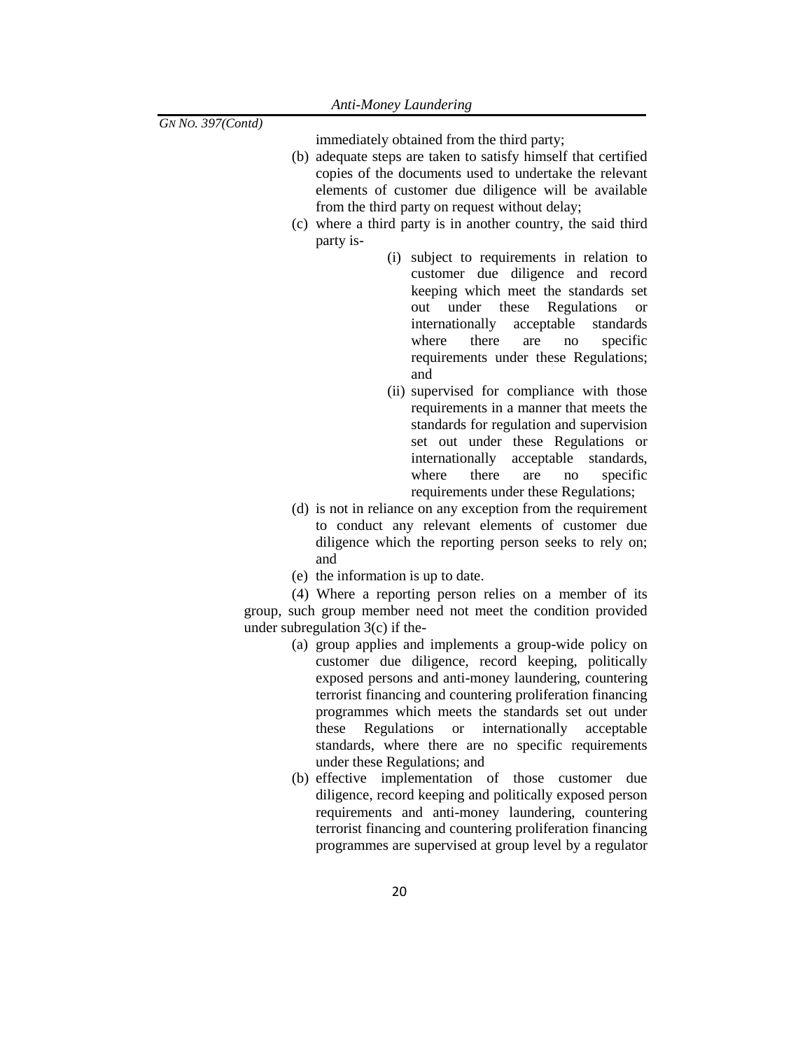| GN No. 397(Contd) |  |  |
|-------------------|--|--|
|-------------------|--|--|

immediately obtained from the third party;

- (b) adequate steps are taken to satisfy himself that certified copies of the documents used to undertake the relevant elements of customer due diligence will be available from the third party on request without delay;
- (c) where a third party is in another country, the said third party is-
	- (i) subject to requirements in relation to customer due diligence and record keeping which meet the standards set out under these Regulations or internationally acceptable standards where there are no specific requirements under these Regulations; and
	- (ii) supervised for compliance with those requirements in a manner that meets the standards for regulation and supervision set out under these Regulations or internationally acceptable standards, where there are no specific requirements under these Regulations;
- (d) is not in reliance on any exception from the requirement to conduct any relevant elements of customer due diligence which the reporting person seeks to rely on; and
- (e) the information is up to date.

(4) Where a reporting person relies on a member of its group, such group member need not meet the condition provided under subregulation 3(c) if the-

- (a) group applies and implements a group-wide policy on customer due diligence, record keeping, politically exposed persons and anti-money laundering, countering terrorist financing and countering proliferation financing programmes which meets the standards set out under these Regulations or internationally acceptable standards, where there are no specific requirements under these Regulations; and
- (b) effective implementation of those customer due diligence, record keeping and politically exposed person requirements and anti-money laundering, countering terrorist financing and countering proliferation financing programmes are supervised at group level by a regulator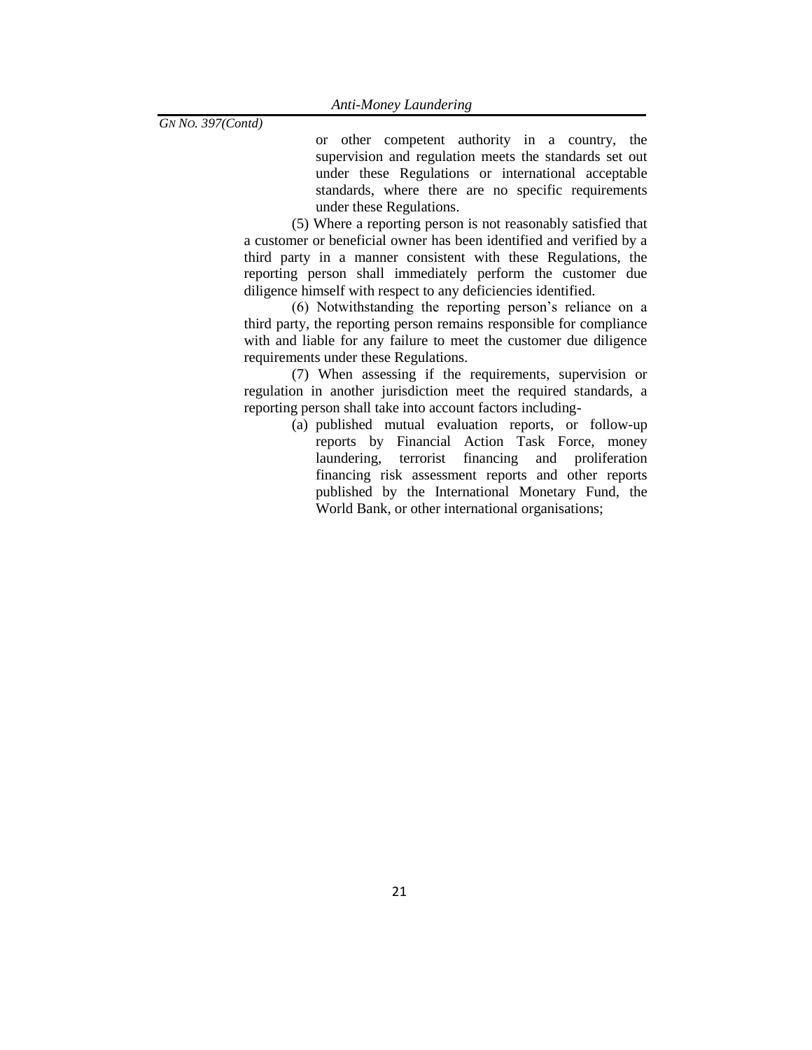or other competent authority in a country, the supervision and regulation meets the standards set out under these Regulations or international acceptable standards, where there are no specific requirements under these Regulations.

(5) Where a reporting person is not reasonably satisfied that a customer or beneficial owner has been identified and verified by a third party in a manner consistent with these Regulations, the reporting person shall immediately perform the customer due diligence himself with respect to any deficiencies identified.

(6) Notwithstanding the reporting person's reliance on a third party, the reporting person remains responsible for compliance with and liable for any failure to meet the customer due diligence requirements under these Regulations.

(7) When assessing if the requirements, supervision or regulation in another jurisdiction meet the required standards, a reporting person shall take into account factors including-

> (a) published mutual evaluation reports, or follow-up reports by Financial Action Task Force, money laundering, terrorist financing and proliferation financing risk assessment reports and other reports published by the International Monetary Fund, the World Bank, or other international organisations;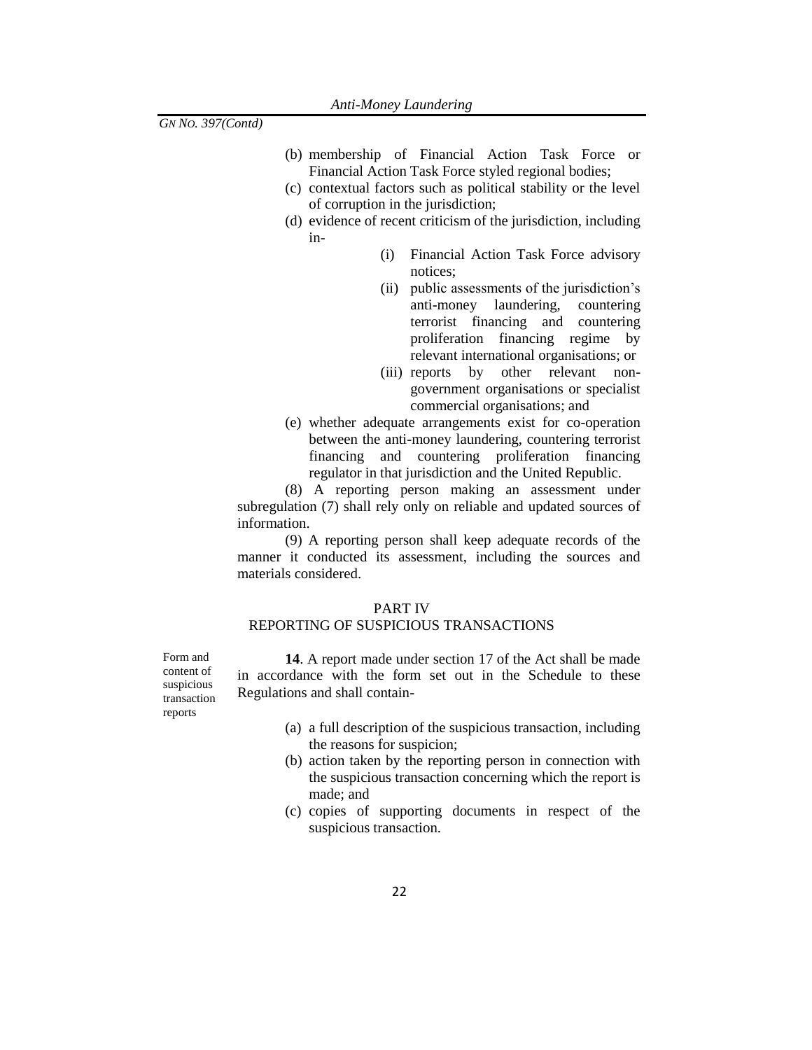- (b) membership of Financial Action Task Force or Financial Action Task Force styled regional bodies;
- (c) contextual factors such as political stability or the level of corruption in the jurisdiction;
- (d) evidence of recent criticism of the jurisdiction, including in-
	- (i) Financial Action Task Force advisory notices;
	- (ii) public assessments of the jurisdiction's anti-money laundering, countering terrorist financing and countering proliferation financing regime by relevant international organisations; or
	- (iii) reports by other relevant nongovernment organisations or specialist commercial organisations; and
- (e) whether adequate arrangements exist for co-operation between the anti-money laundering, countering terrorist financing and countering proliferation financing regulator in that jurisdiction and the United Republic.

(8) A reporting person making an assessment under subregulation (7) shall rely only on reliable and updated sources of information.

(9) A reporting person shall keep adequate records of the manner it conducted its assessment, including the sources and materials considered.

#### PART IV

## REPORTING OF SUSPICIOUS TRANSACTIONS

**14**. A report made under section 17 of the Act shall be made in accordance with the form set out in the Schedule to these Regulations and shall contain-

- (a) a full description of the suspicious transaction, including the reasons for suspicion;
- (b) action taken by the reporting person in connection with the suspicious transaction concerning which the report is made; and
- (c) copies of supporting documents in respect of the suspicious transaction.

Form and content of suspicious transaction reports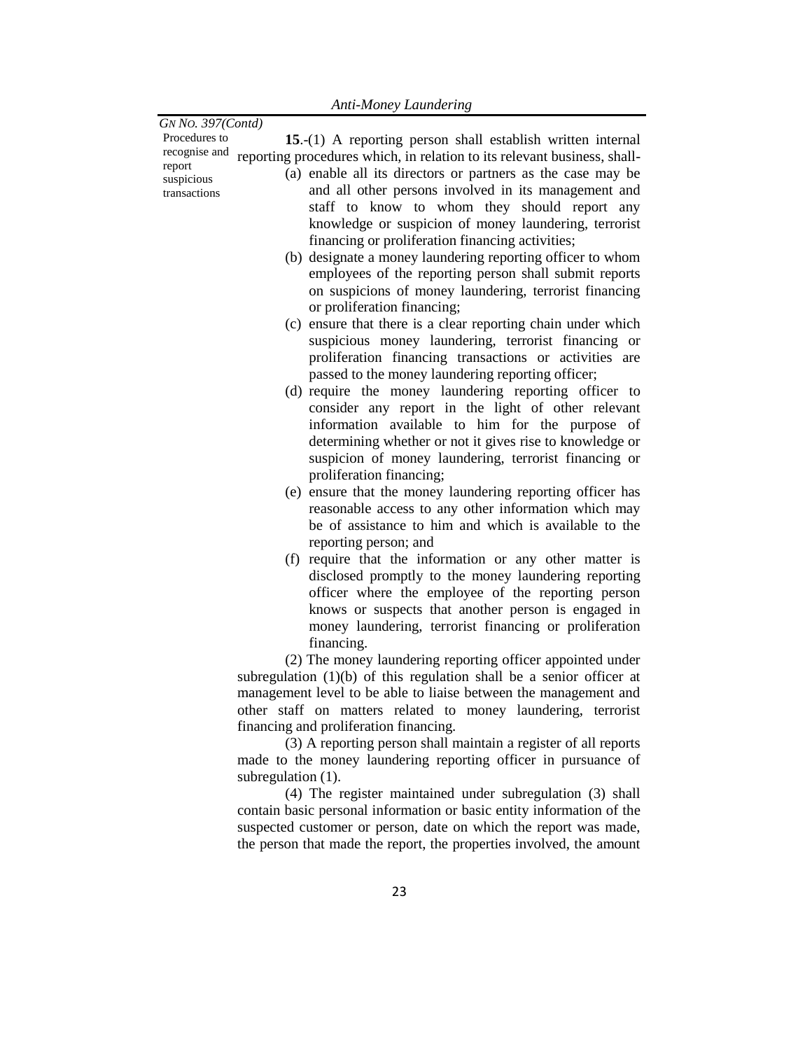| GN No. 397(Contd)                    |                                                                                                                                                                                                                                                                                                                 |
|--------------------------------------|-----------------------------------------------------------------------------------------------------------------------------------------------------------------------------------------------------------------------------------------------------------------------------------------------------------------|
| Procedures to<br>recognise and       | 15.-(1) A reporting person shall establish written internal<br>reporting procedures which, in relation to its relevant business, shall-                                                                                                                                                                         |
| report<br>suspicious<br>transactions | (a) enable all its directors or partners as the case may be<br>and all other persons involved in its management and<br>staff to know to whom they should report any<br>knowledge or suspicion of money laundering, terrorist<br>financing or proliferation financing activities;                                |
|                                      | (b) designate a money laundering reporting officer to whom<br>employees of the reporting person shall submit reports<br>on suspicions of money laundering, terrorist financing<br>or proliferation financing;                                                                                                   |
|                                      | (c) ensure that there is a clear reporting chain under which<br>suspicious money laundering, terrorist financing or<br>proliferation financing transactions or activities are<br>passed to the money laundering reporting officer;                                                                              |
|                                      | (d) require the money laundering reporting officer to<br>consider any report in the light of other relevant<br>information available to him for the purpose of<br>determining whether or not it gives rise to knowledge or<br>suspicion of money laundering, terrorist financing or<br>proliferation financing; |
|                                      | (e) ensure that the money laundering reporting officer has<br>reasonable access to any other information which may<br>be of assistance to him and which is available to the<br>reporting person; and                                                                                                            |
|                                      | (f) require that the information or any other matter is<br>disclosed promptly to the money laundering reporting<br>officer where the employee of the reporting person<br>knows or suspects that another person is engaged in<br>money laundering, terrorist financing or proliferation<br>financing.            |
|                                      | (2) The money laundering reporting officer appointed under<br>subregulation $(1)(b)$ of this regulation shall be a senior officer at<br>management level to be able to liaise between the management and<br>other staff on matters related to money laundering, terrorist                                       |
|                                      | financing and proliferation financing.<br>(3) A reporting person shall maintain a register of all reports<br>made to the money laundering reporting officer in pursuance of                                                                                                                                     |
|                                      | subregulation (1).                                                                                                                                                                                                                                                                                              |

(4) The register maintained under subregulation (3) shall contain basic personal information or basic entity information of the suspected customer or person, date on which the report was made, the person that made the report, the properties involved, the amount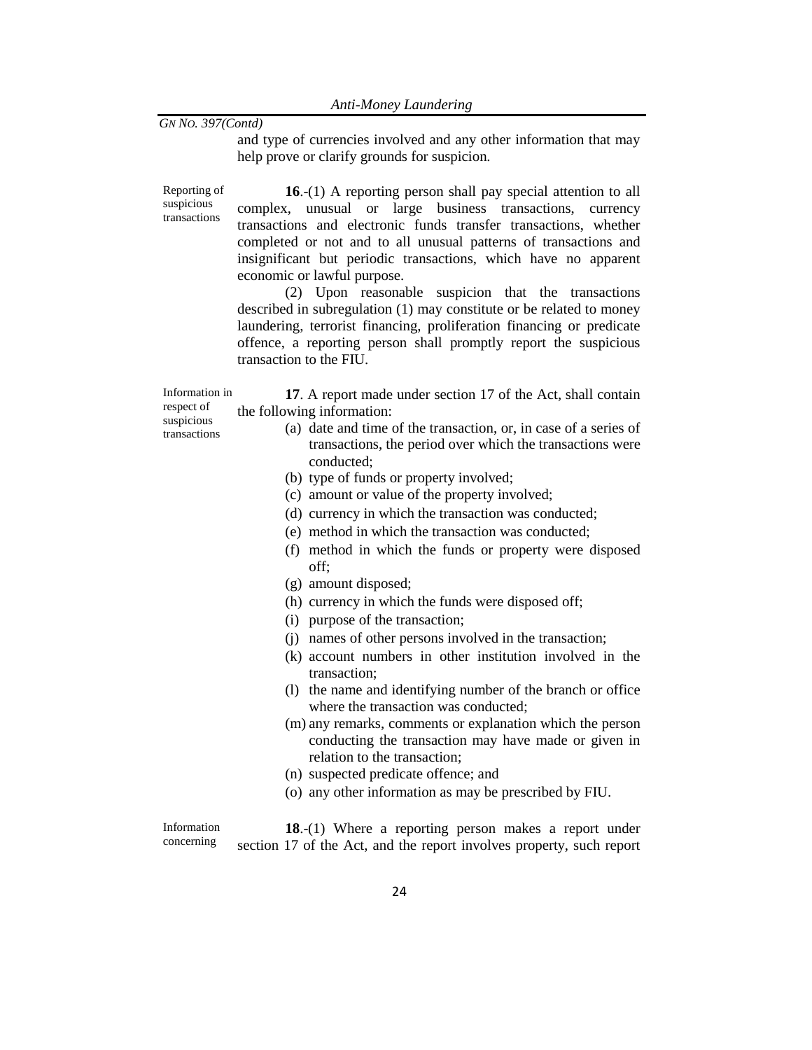and type of currencies involved and any other information that may help prove or clarify grounds for suspicion.

Reporting of suspicious transactions

**16**.-(1) A reporting person shall pay special attention to all complex, unusual or large business transactions, currency transactions and electronic funds transfer transactions, whether completed or not and to all unusual patterns of transactions and insignificant but periodic transactions, which have no apparent economic or lawful purpose.

(2) Upon reasonable suspicion that the transactions described in subregulation (1) may constitute or be related to money laundering, terrorist financing, proliferation financing or predicate offence, a reporting person shall promptly report the suspicious transaction to the FIU.

Information in respect of suspicious tran[sacti](../../../../fasimba/Desktop/MER%20compliance%20Documents/Proposed%20New%20AMLA%20regulations%202021-22.docx#Act)ons

**17**. A report made under section 17 of the Act, shall contain the following information:

- (a) date and time of the transaction, or, in case of a series of transactions, the period over which the transactions were conducted;
- (b) type of funds or property involved;
- (c) amount or value of the property involved;
- (d) currency in which the transaction was conducted;
- (e) method in which the transaction was conducted;
- (f) method in which the funds or property were disposed off;
- (g) amount disposed;
- (h) currency in which the funds were disposed off;
- (i) purpose of the transaction;
- (j) names of other persons involved in the transaction;
- (k) account numbers in other institution involved in the transaction;
- (l) the name and identifying number of the branch or office where the transaction was conducted:
- (m) any remarks, comments or explanation which th[e person](../../../../fasimba/Desktop/MER%20compliance%20Documents/Proposed%20New%20AMLA%20regulations%202021-22.docx#Person) conducting the transaction may have made or given in relation to the transaction;
- (n) suspected predicate offence; and
- (o) any other information as may be prescribed by FIU.

Information concerning **18**.-(1) Where a reporting person makes a report under section 17 of the Act, and the report involves property, such report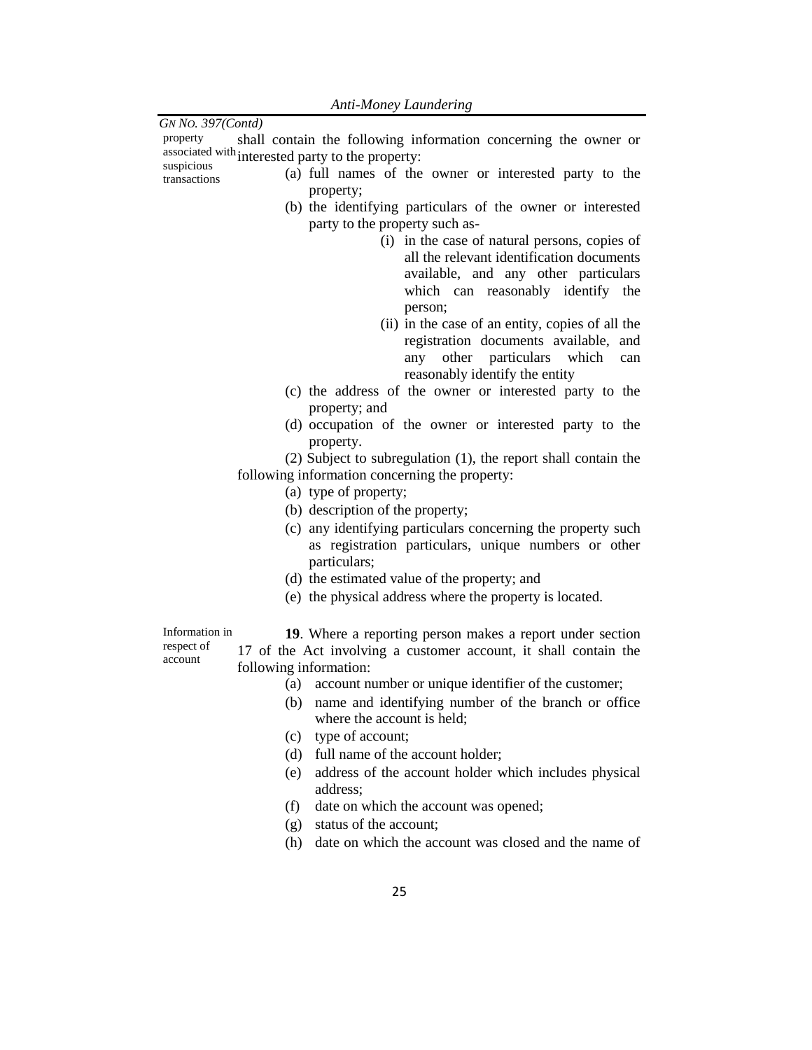| GN No. 397(Contd)                                                                    |  |  |  |
|--------------------------------------------------------------------------------------|--|--|--|
| shall contain the following information concerning the owner or<br>property          |  |  |  |
| associated with interested party to the property:                                    |  |  |  |
| suspicious<br>(a) full names of the owner or interested party to the<br>transactions |  |  |  |
| property;                                                                            |  |  |  |
| (b) the identifying particulars of the owner or interested                           |  |  |  |
| party to the property such as-                                                       |  |  |  |
| (i) in the case of natural persons, copies of                                        |  |  |  |
| all the relevant identification documents                                            |  |  |  |
| available, and any other particulars                                                 |  |  |  |
| which can reasonably identify the                                                    |  |  |  |
|                                                                                      |  |  |  |
| person;                                                                              |  |  |  |
| (ii) in the case of an entity, copies of all the                                     |  |  |  |
| registration documents available, and                                                |  |  |  |
| other particulars<br>which<br>any<br>can                                             |  |  |  |
| reasonably identify the entity                                                       |  |  |  |
| (c) the address of the owner or interested party to the                              |  |  |  |
| property; and                                                                        |  |  |  |
| (d) occupation of the owner or interested party to the                               |  |  |  |
| property.                                                                            |  |  |  |
| (2) Subject to subregulation (1), the report shall contain the                       |  |  |  |
| following information concerning the property:                                       |  |  |  |
| (a) type of property;                                                                |  |  |  |
| (b) description of the property;                                                     |  |  |  |
| (c) any identifying particulars concerning the property such                         |  |  |  |
| as registration particulars, unique numbers or other                                 |  |  |  |
| particulars;                                                                         |  |  |  |
| (d) the estimated value of the property; and                                         |  |  |  |
| (e) the physical address where the property is located.                              |  |  |  |
|                                                                                      |  |  |  |
| Information in                                                                       |  |  |  |
| 19. Where a reporting person makes a report under section<br>respect of              |  |  |  |
| 17 of the Act involving a customer account, it shall contain the<br>account          |  |  |  |
| following information:                                                               |  |  |  |
| account number or unique identifier of the customer;<br>(a)                          |  |  |  |
| name and identifying number of the branch or office<br>(b)                           |  |  |  |
| where the account is held;                                                           |  |  |  |
| type of account;<br>(c)                                                              |  |  |  |
| full name of the account holder;<br>(d)                                              |  |  |  |
| address of the account holder which includes physical<br>(e)                         |  |  |  |
| address;                                                                             |  |  |  |
| date on which the account was opened;<br>(f)                                         |  |  |  |
| status of the account;<br>(g)                                                        |  |  |  |
| date on which the account was closed and the name of<br>(h)                          |  |  |  |
|                                                                                      |  |  |  |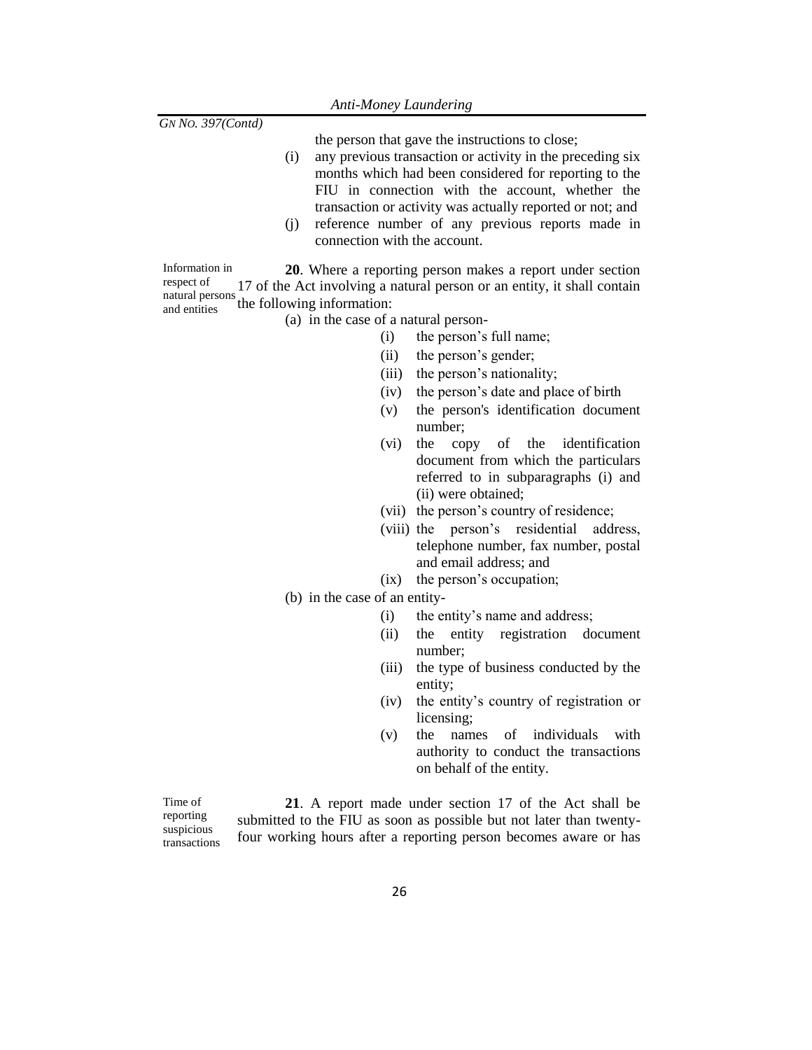the person that gave the instructions to close;

- (i) any previous transaction or activity in the preceding six months which had been considered for reporting to the FIU in connection with the account, whether the transaction or activity was actually reported or not; and
- (j) reference number of any previous reports made in connection with the account.

Information in respect of natural persons and entities **20**. Where a reporting person makes a report under section 17 of the Act involving a natural person or an entity, it shall contain the following information:

- (a) in the case of a natural person-
	- (i) the person's full name;
	- (ii) the person's gender;
	- (iii) the person's nationality;
	- (iv) the person's date and place of birth
	- (v) the person's identification document number;
	- (vi) the copy of the identification document from which the particulars referred to in subparagraphs (i) and (ii) were obtained;
	- (vii) the person's country of residence;
	- (viii) the person's residential address, telephone number, fax number, postal and email address; and
	- (ix) the person's occupation;
- (b) in the case of an entity-
	- (i) the entity's name and address;
	- (ii) the entity registration document number;
	- (iii) the type of business conducted by the entity;
	- (iv) the entity's country of registration or licensing;
	- (v) the names of individuals with authority to conduct the transactions on behalf of the entity.

Time of reporting suspicious transactions

**21**. A report made under section 17 of the Act shall be submitted to the FIU as soon as possible but not later than twentyfour working hours after a reporting person becomes aware or has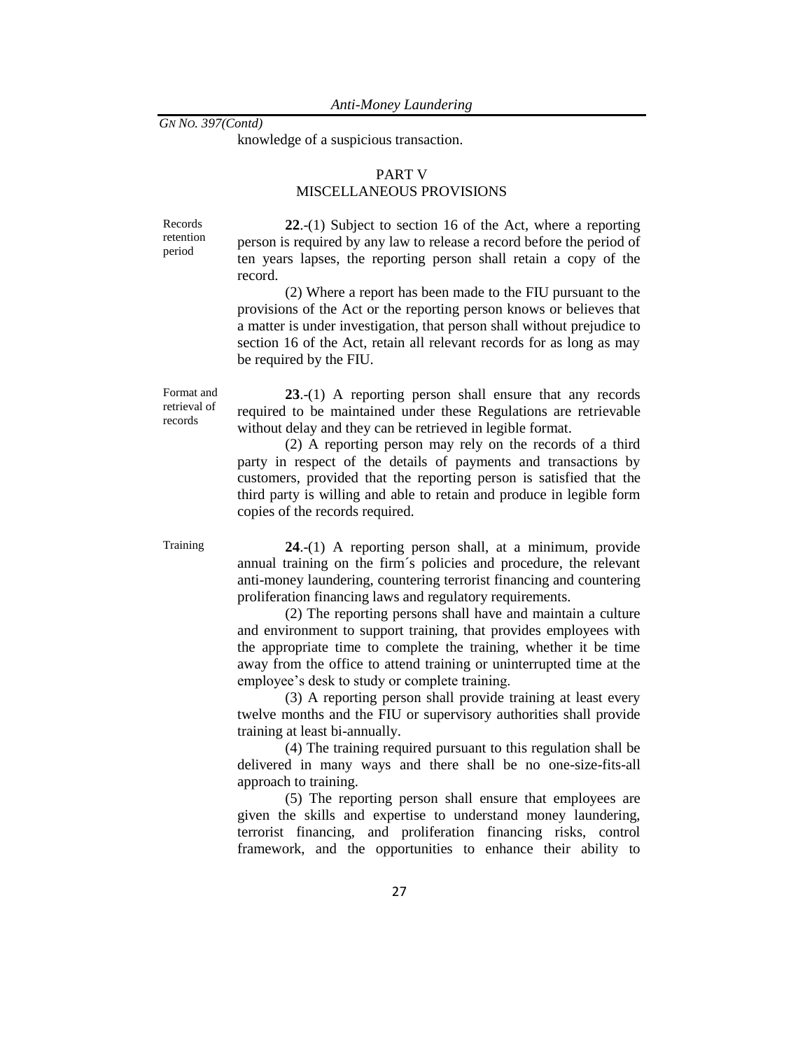knowledge of a suspicious transaction.

## PART V MISCELLANEOUS PROVISIONS

Records retention period

**22**.-(1) Subject to section 16 of the Act, where a reporting person is required by any law to release a record before the period of ten years lapses, the reporting person shall retain a copy of the record.

(2) Where a report has been made to the FIU pursuant to the provisions of the Act or the reporting person knows or believes that a matter is under investigation, that person shall without prejudice to section 16 of the Act, retain all relevant records for as long as may be required by the FIU.

Format and retrieval of records

**23**.-(1) A reporting person shall ensure that any records required to be maintained under these Regulations are retrievable without delay and they can be retrieved in legible format.

(2) A reporting person may rely on the records of a third party in respect of the details of payments and transactions by customers, provided that the reporting person is satisfied that the third party is willing and able to retain and produce in legible form copies of the records required.

Training **24**.-(1) A reporting person shall, at a minimum, provide annual training on the firm´s policies and procedure, the relevant anti-money laundering, countering terrorist financing and countering proliferation financing laws and regulatory requirements.

> (2) The reporting persons shall have and maintain a culture and environment to support training, that provides employees with the appropriate time to complete the training, whether it be time away from the office to attend training or uninterrupted time at the employee's desk to study or complete training.

> (3) A reporting person shall provide training at least every twelve months and the FIU or supervisory authorities shall provide training at least bi-annually.

> (4) The training required pursuant to this regulation shall be delivered in many ways and there shall be no one-size-fits-all approach to training.

> (5) The reporting person shall ensure that employees are given the skills and expertise to understand money laundering, terrorist financing, and proliferation financing risks, control framework, and the opportunities to enhance their ability to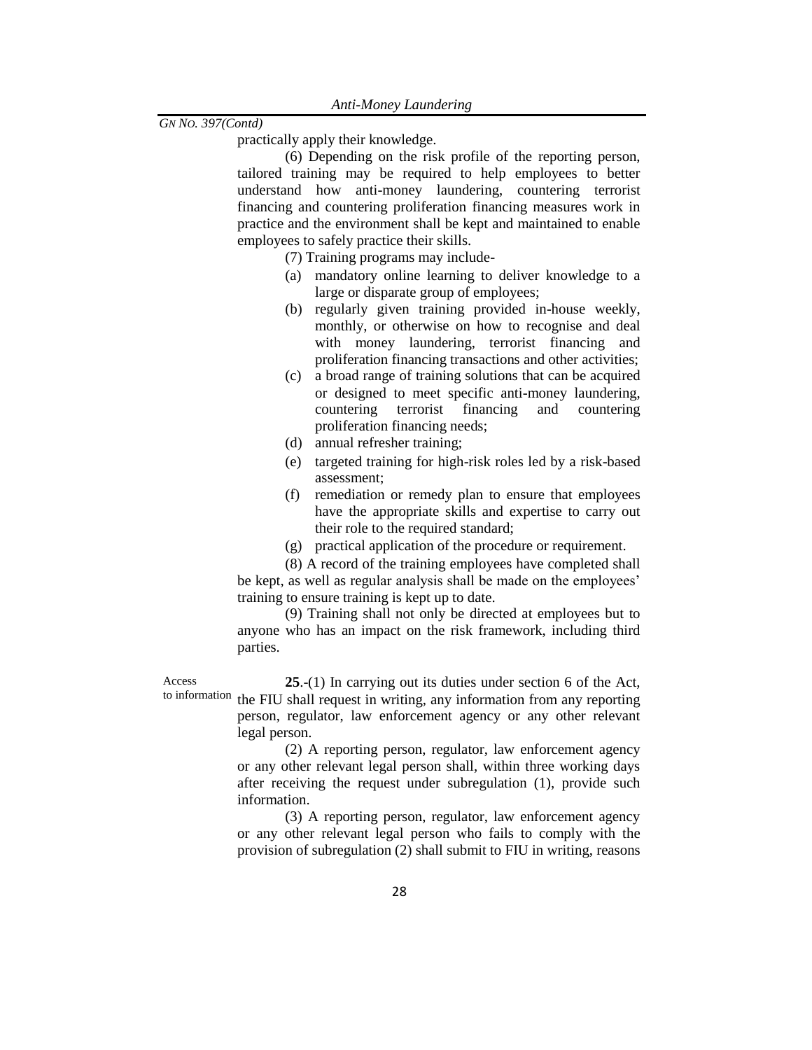practically apply their knowledge.

(6) Depending on the risk profile of the reporting person, tailored training may be required to help employees to better understand how anti-money laundering, countering terrorist financing and countering proliferation financing measures work in practice and the environment shall be kept and maintained to enable employees to safely practice their skills.

(7) Training programs may include-

- (a) mandatory online learning to deliver knowledge to a large or disparate group of employees;
- (b) regularly given training provided in-house weekly, monthly, or otherwise on how to recognise and deal with money laundering, terrorist financing and proliferation financing transactions and other activities;
- (c) a broad range of training solutions that can be acquired or designed to meet specific anti-money laundering, countering terrorist financing and countering proliferation financing needs;
- (d) annual refresher training;
- (e) targeted training for high-risk roles led by a risk-based assessment;
- (f) remediation or remedy plan to ensure that employees have the appropriate skills and expertise to carry out their role to the required standard;
- (g) practical application of the procedure or requirement.

(8) A record of the training employees have completed shall be kept, as well as regular analysis shall be made on the employees' training to ensure training is kept up to date.

(9) Training shall not only be directed at employees but to anyone who has an impact on the risk framework, including third parties.

Access to information

**25**.-(1) In carrying out its duties under section 6 of the Act, the FIU shall request in writing, any information from any reporting person, regulator, law enforcement agency or any other relevant legal person.

(2) A reporting person, regulator, law enforcement agency or any other relevant legal person shall, within three working days after receiving the request under subregulation (1), provide such information.

(3) A reporting person, regulator, law enforcement agency or any other relevant legal person who fails to comply with the provision of subregulation (2) shall submit to FIU in writing, reasons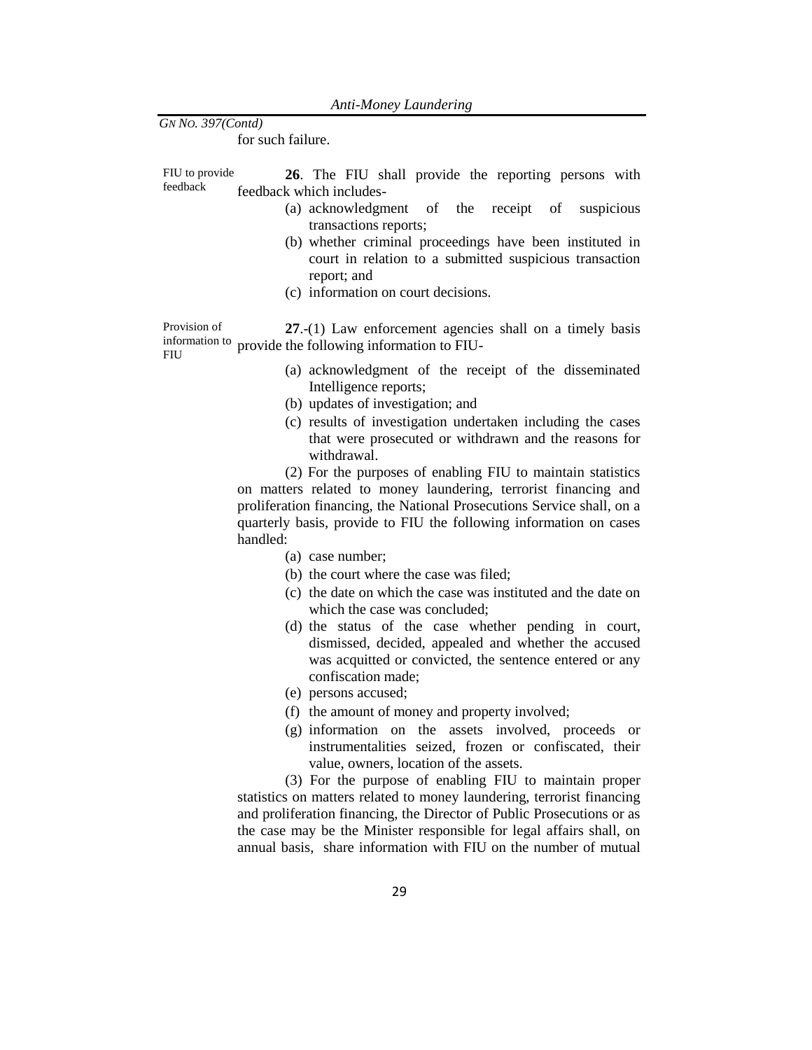for such failure.

FIU to provide feedback **26**. The FIU shall provide the reporting persons with feedback which includes-

- (a) acknowledgment of the receipt of suspicious transactions reports;
- (b) whether criminal proceedings have been instituted in court in relation to a submitted suspicious transaction report; and
- (c) information on court decisions.

Provision of information to provide the following information to FIU- FIU **27**.-(1) Law enforcement agencies shall on a timely basis

- (a) acknowledgment of the receipt of the disseminated Intelligence reports;
- (b) updates of investigation; and
- (c) results of investigation undertaken including the cases that were prosecuted or withdrawn and the reasons for withdrawal.

(2) For the purposes of enabling FIU to maintain statistics on matters related to money laundering, terrorist financing and proliferation financing, the National Prosecutions Service shall, on a quarterly basis, provide to FIU the following information on cases handled:

- (a) case number;
- (b) the court where the case was filed;
- (c) the date on which the case was instituted and the date on which the case was concluded;
- (d) the status of the case whether pending in court, dismissed, decided, appealed and whether the accused was acquitted or convicted, the sentence entered or any confiscation made;
- (e) persons accused;
- (f) the amount of money and property involved;
- (g) information on the assets involved, proceeds or instrumentalities seized, frozen or confiscated, their value, owners, location of the assets.

(3) For the purpose of enabling [FIU](../../../../fasimba/Desktop/MER%20compliance%20Documents/Proposed%20New%20AMLA%20regulations%202021-22.docx#FIU) to maintain proper statistics on matters related to money laundering, terrorist financing and proliferation financing, the Director of Public Prosecutions or as the case may be the Minister responsible for legal affairs shall, on annual basis, share information with [FIU](../../../../fasimba/Desktop/MER%20compliance%20Documents/Proposed%20New%20AMLA%20regulations%202021-22.docx#FIU) on the number of mutual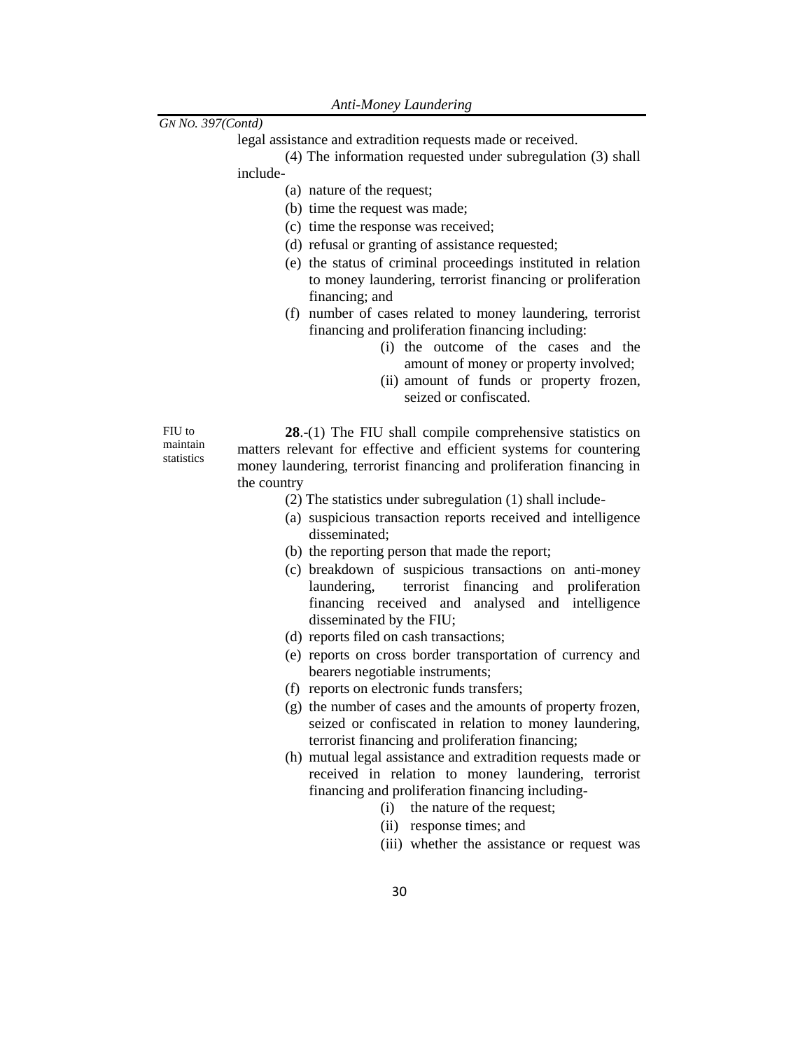legal assistance and extradition requests made or received.

(4) The information requested under subregulation (3) shall

include-

(a) nature of the request;

- (b) time the request was made;
- (c) time the response was received;
- (d) refusal or granting of assistance requested;
- (e) the status of criminal proceedings instituted in relation to money laundering, terrorist financing or proliferation financing; and
- (f) number of cases related to money laundering, terrorist financing and proliferation financing including:
	- (i) the outcome of the cases and the amount of money or property involved;
	- (ii) amount of funds or property frozen, seized or confiscated.

FIU to maintain statistics

**28**.-(1) The FIU shall compile comprehensive statistics on matters relevant for effective and efficient systems for countering money laundering, terrorist financing and proliferation financing in the country

- (2) The statistics under subregulation (1) shall include-
- (a) suspicious transaction reports received and intelligence disseminated;
- (b) the reporting person that made the report;
- (c) breakdown of suspicious transactions on anti-money laundering, terrorist financing and proliferation financing received and analysed and intelligence disseminated by the FIU;
- (d) reports filed on cash transactions;
- (e) reports on cross border transportation of currency and bearers negotiable instruments;
- (f) reports on electronic funds transfers;
- (g) the number of cases and the amounts of property frozen, seized or confiscated in relation to money laundering, terrorist financing and proliferation financing;
- (h) mutual legal assistance and extradition requests made or received in relation to money laundering, terrorist financing and proliferation financing including-
	- (i) the nature of the request;
	- (ii) response times; and
	- (iii) whether the assistance or request was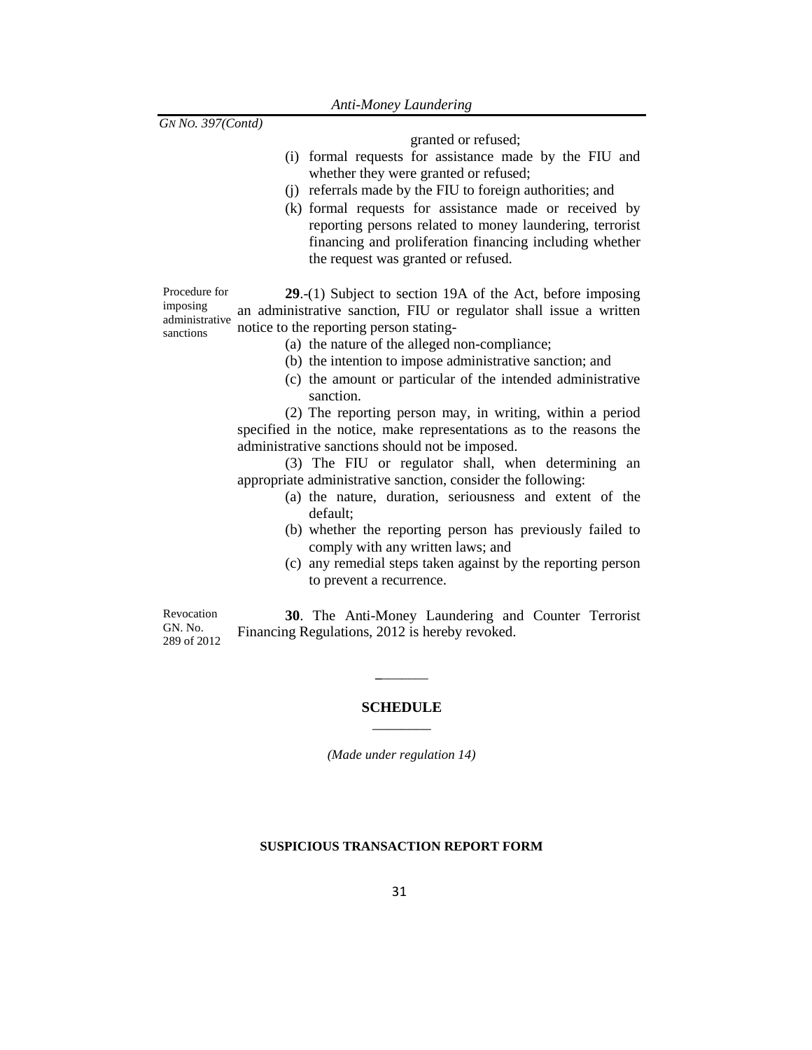granted or refused;

- (i) formal requests for assistance made by the FIU and whether they were granted or refused;
- (j) referrals made by the FIU to foreign authorities; and
- (k) formal requests for assistance made or received by reporting persons related to money laundering, terrorist financing and proliferation financing including whether the request was granted or refused.

Procedure for imposing administrative sanctions **29**.-(1) Subject to section 19A of the Act, before imposing an administrative sanction, FIU or regulator shall issue a written notice to the reporting person stating-

- (a) the nature of the alleged non-compliance;
- (b) the intention to impose administrative sanction; and
- (c) the amount or particular of the intended administrative sanction.

(2) The reporting person may, in writing, within a period specified in the notice, make representations as to the reasons the administrative sanctions should not be imposed.

(3) The FIU or regulator shall, when determining an appropriate administrative sanction, consider the following:

- (a) the nature, duration, seriousness and extent of the default;
- (b) whether the reporting person has previously failed to comply with any written laws; and
- (c) any remedial steps taken against by the reporting person to prevent a recurrence.

Revocation GN. No. 289 of 2012

**30**. The Anti-Money Laundering and Counter Terrorist Financing Regulations, 2012 is hereby revoked.

## **SCHEDULE** \_\_\_\_\_\_\_\_

**\_**\_\_\_\_\_\_\_

*(Made under regulation 14)*

## **SUSPICIOUS TRANSACTION REPORT FORM**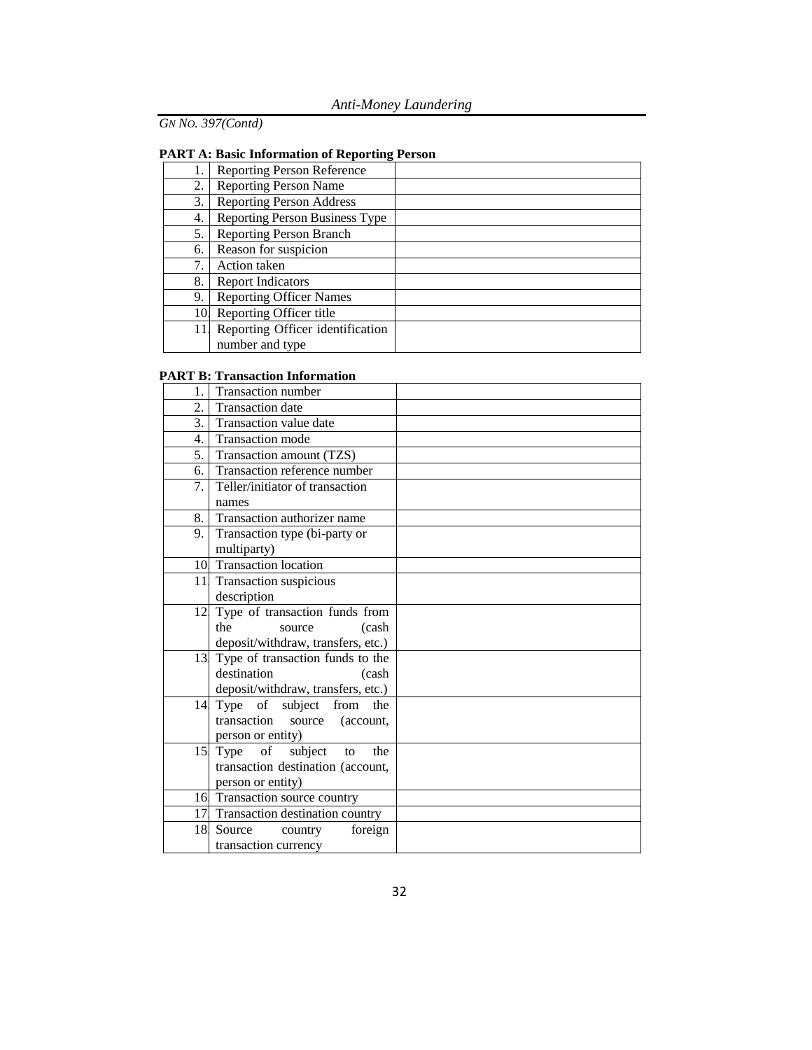# **PART A: Basic Information of Reporting Person**

|     | <b>Reporting Person Reference</b> |  |
|-----|-----------------------------------|--|
| 2.  | <b>Reporting Person Name</b>      |  |
| 3.  | <b>Reporting Person Address</b>   |  |
| 4.  | Reporting Person Business Type    |  |
| 5.  | <b>Reporting Person Branch</b>    |  |
| 6.  | Reason for suspicion              |  |
| 7.  | Action taken                      |  |
| 8.  | <b>Report Indicators</b>          |  |
| 9.  | <b>Reporting Officer Names</b>    |  |
| 10  | Reporting Officer title           |  |
| 11. | Reporting Officer identification  |  |
|     | number and type                   |  |

## **PART B: Transaction Information**

| 1.              | Transaction number                                                  |  |
|-----------------|---------------------------------------------------------------------|--|
| 2.              | Transaction date                                                    |  |
| 3.              | Transaction value date                                              |  |
| 4.              | <b>Transaction mode</b>                                             |  |
| 5.1             | Transaction amount (TZS)                                            |  |
| 6.              | Transaction reference number                                        |  |
| 7.              | Teller/initiator of transaction                                     |  |
|                 | names                                                               |  |
| 8.1             | Transaction authorizer name                                         |  |
| 9.              | Transaction type (bi-party or                                       |  |
|                 | multiparty)                                                         |  |
|                 | 10 Transaction location                                             |  |
|                 | 11 Transaction suspicious                                           |  |
|                 | description                                                         |  |
| 12              | Type of transaction funds from                                      |  |
|                 | the<br>source<br>(cash                                              |  |
|                 | deposit/withdraw, transfers, etc.)                                  |  |
| 13              | Type of transaction funds to the                                    |  |
|                 | destination<br>(cash                                                |  |
|                 | deposit/withdraw, transfers, etc.)                                  |  |
| 14              | Type of subject from<br>the                                         |  |
|                 | transaction source<br>(account,                                     |  |
|                 | person or entity)                                                   |  |
| 15 <sup>1</sup> | Type of<br>subject<br>the<br>to                                     |  |
|                 | transaction destination (account,                                   |  |
|                 | person or entity)                                                   |  |
|                 | 16 Transaction source country<br>17 Transaction destination country |  |
| 18              | Source                                                              |  |
|                 | foreign<br>country                                                  |  |
|                 | transaction currency                                                |  |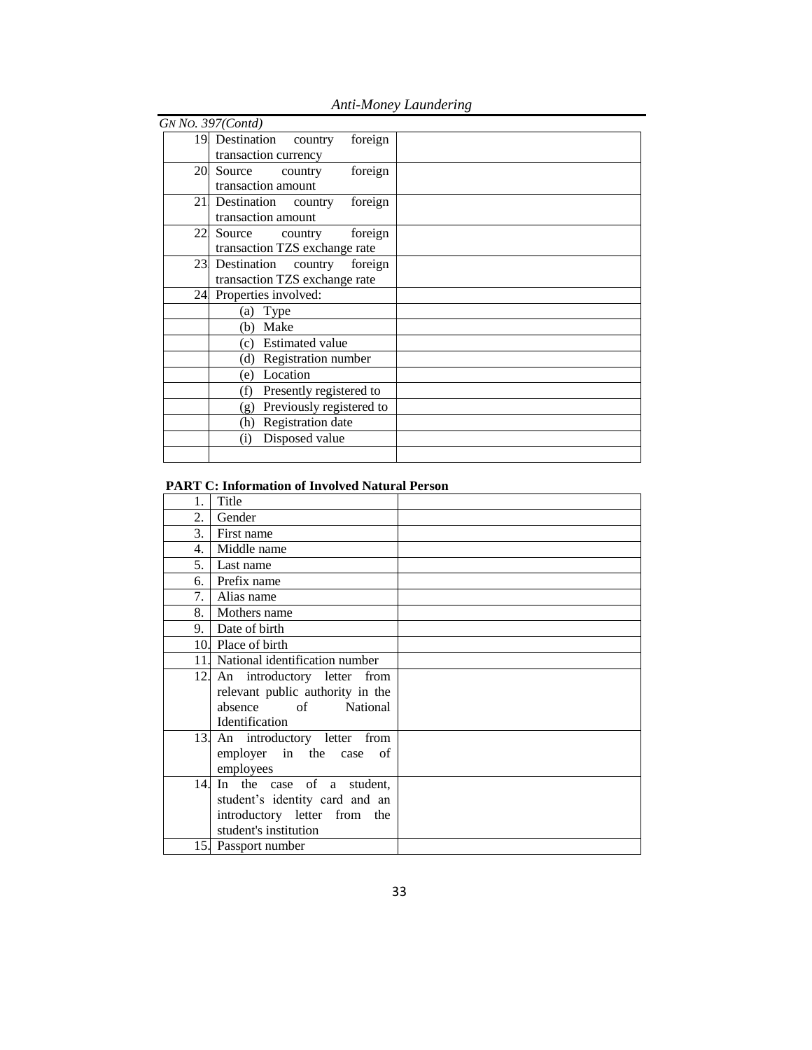| GN No. 397(Contd)                  |                               |
|------------------------------------|-------------------------------|
| 19 Destination country<br>foreign  |                               |
| transaction currency               |                               |
| foreign<br>20 Source<br>country    |                               |
| transaction amount                 |                               |
| 21 Destination country<br>foreign  |                               |
| transaction amount                 |                               |
| 22<br>Source<br>foreign<br>country |                               |
| transaction TZS exchange rate      |                               |
| 23 Destination country foreign     |                               |
|                                    |                               |
| 24 Properties involved:            |                               |
| (a) Type                           |                               |
| (b) Make                           |                               |
| (c) Estimated value                |                               |
| Registration number<br>(d)         |                               |
| Location<br>(e)                    |                               |
| Presently registered to<br>(f)     |                               |
| Previously registered to<br>(g)    |                               |
| Registration date<br>(h)           |                               |
| Disposed value<br>(i)              |                               |
|                                    |                               |
|                                    | transaction TZS exchange rate |

# *Anti-Money Laundering*

# **PART C: Information of Involved Natural Person**

| 1.  | Title                              |  |
|-----|------------------------------------|--|
| 2.  | Gender                             |  |
| 3.  | First name                         |  |
| 4.  | Middle name                        |  |
| 5.  | Last name                          |  |
| 6.  | Prefix name                        |  |
| 7.  | Alias name                         |  |
| 8.1 | Mothers name                       |  |
| 9.1 | Date of birth                      |  |
|     | 10. Place of birth                 |  |
|     | 11. National identification number |  |
|     | 12 An introductory letter from     |  |
|     | relevant public authority in the   |  |
|     | absence of<br><b>National</b>      |  |
|     | Identification                     |  |
|     | 13. An introductory letter from    |  |
|     | employer in the case of            |  |
|     | employees                          |  |
| 14. | In the case of a student,          |  |
|     | student's identity card and an     |  |
|     | introductory letter from the       |  |
|     | student's institution              |  |
|     | 15. Passport number                |  |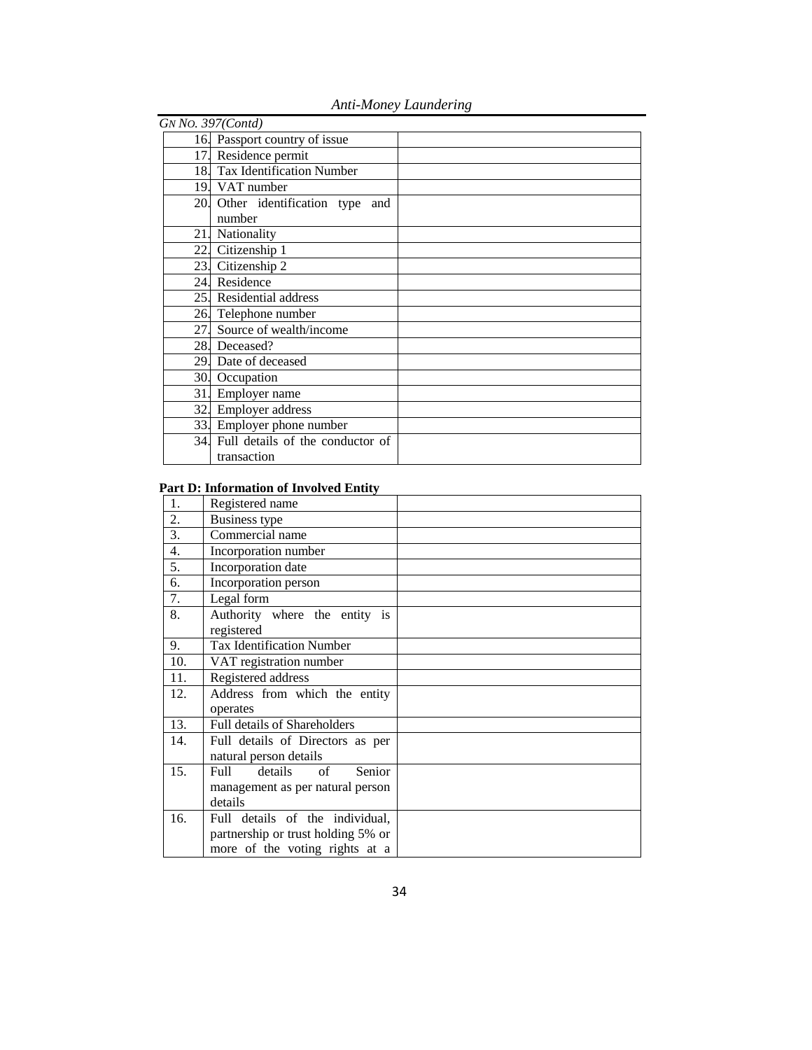| GN No. 397(Contd) |                                               |  |
|-------------------|-----------------------------------------------|--|
|                   | 16. Passport country of issue                 |  |
|                   | 17. Residence permit                          |  |
|                   | 18. Tax Identification Number                 |  |
|                   | 19. VAT number                                |  |
|                   | 20 Other identification type<br>and<br>number |  |
| 21.               | Nationality                                   |  |
|                   | 22. Citizenship 1                             |  |
| 23.               | Citizenship 2                                 |  |
|                   | 24. Residence                                 |  |
| 25.               | Residential address                           |  |
|                   | 26. Telephone number                          |  |
| 27.               | Source of wealth/income                       |  |
|                   | 28. Deceased?                                 |  |
|                   | 29. Date of deceased                          |  |
|                   | 30. Occupation                                |  |
| 31.               | Employer name                                 |  |
|                   | 32. Employer address                          |  |
|                   | 33. Employer phone number                     |  |
| 34.               | Full details of the conductor of              |  |
|                   | transaction                                   |  |

# *Anti-Money Laundering*

## **Part D: Information of Involved Entity**

| 1.               | Registered name                                      |  |
|------------------|------------------------------------------------------|--|
| 2.               | <b>Business type</b>                                 |  |
| $\overline{3}$ . | Commercial name                                      |  |
| 4.               | Incorporation number                                 |  |
| 5.               | Incorporation date                                   |  |
| 6.               | Incorporation person                                 |  |
| 7.               | Legal form                                           |  |
| 8.               | Authority where the entity is<br>registered          |  |
| 9.               | <b>Tax Identification Number</b>                     |  |
| 10.              | VAT registration number                              |  |
| 11.              | Registered address                                   |  |
| 12.              | Address from which the entity                        |  |
|                  | operates                                             |  |
| 13.              | Full details of Shareholders                         |  |
| 14.              | Full details of Directors as per                     |  |
|                  | natural person details                               |  |
| 15.              | Senior<br>details<br>$\sigma$ f<br>F <sub>U</sub> 11 |  |
|                  | management as per natural person                     |  |
|                  | details                                              |  |
| 16.              | Full details of the individual.                      |  |
|                  | partnership or trust holding 5% or                   |  |
|                  | more of the voting rights at a                       |  |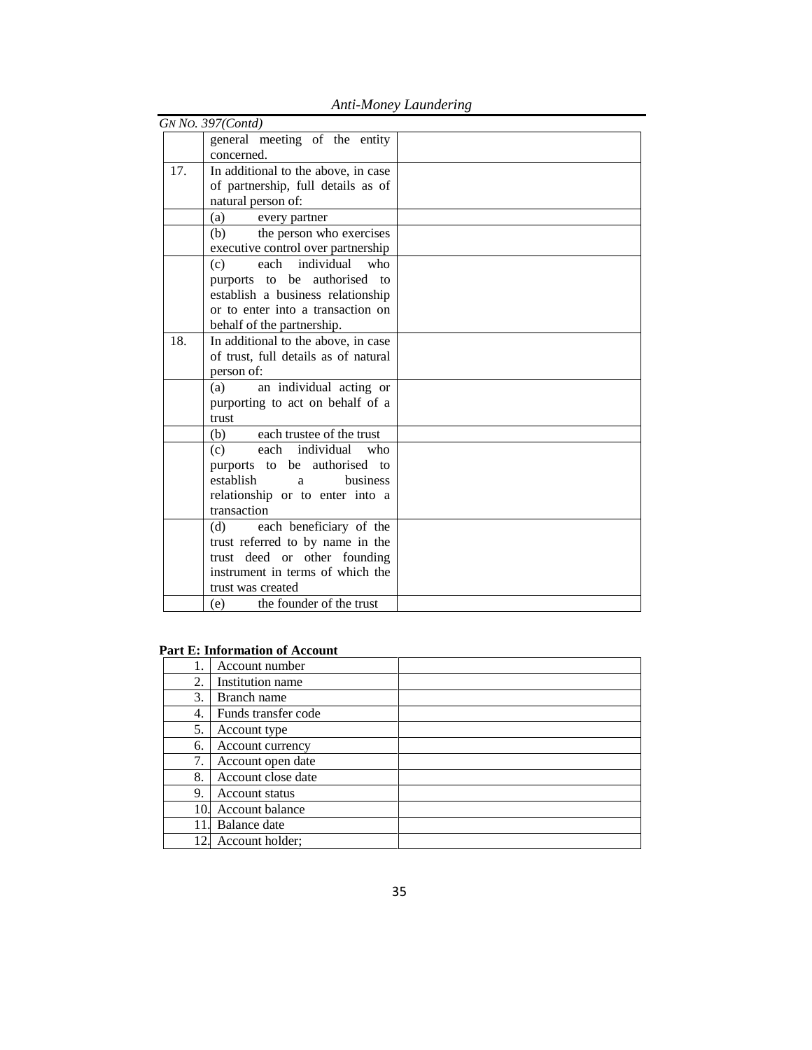|     | GN No. 397(Contd)                    |  |
|-----|--------------------------------------|--|
|     | general meeting of the entity        |  |
|     | concerned.                           |  |
| 17. | In additional to the above, in case  |  |
|     | of partnership, full details as of   |  |
|     | natural person of:                   |  |
|     | (a)<br>every partner                 |  |
|     | the person who exercises<br>(b)      |  |
|     | executive control over partnership   |  |
|     | each individual<br>$w$ ho<br>(c)     |  |
|     | authorised<br>purports to be<br>to   |  |
|     | establish a business relationship    |  |
|     | or to enter into a transaction on    |  |
|     | behalf of the partnership.           |  |
| 18. | In additional to the above, in case  |  |
|     | of trust, full details as of natural |  |
|     | person of:                           |  |
|     | an individual acting or<br>(a)       |  |
|     | purporting to act on behalf of a     |  |
|     | trust                                |  |
|     | each trustee of the trust<br>(b)     |  |
|     | each individual<br>who<br>(c)        |  |
|     | purports to be authorised to         |  |
|     | establish<br><b>business</b><br>a    |  |
|     | relationship or to enter into a      |  |
|     | transaction                          |  |
|     | each beneficiary of the<br>(d)       |  |
|     | trust referred to by name in the     |  |
|     | trust deed or other founding         |  |
|     | instrument in terms of which the     |  |
|     | trust was created                    |  |
|     | the founder of the trust<br>(e)      |  |

*Anti-Money Laundering*

## **Part E: Information of Account**

|     | Account number      |  |
|-----|---------------------|--|
| 2.  | Institution name    |  |
| 3.  | Branch name         |  |
| 4.  | Funds transfer code |  |
| 5.  | Account type        |  |
| 6.  | Account currency    |  |
| 7.  | Account open date   |  |
| 8.  | Account close date  |  |
| 9.  | Account status      |  |
| 10. | Account balance     |  |
|     | Balance date        |  |
| 12  | Account holder;     |  |